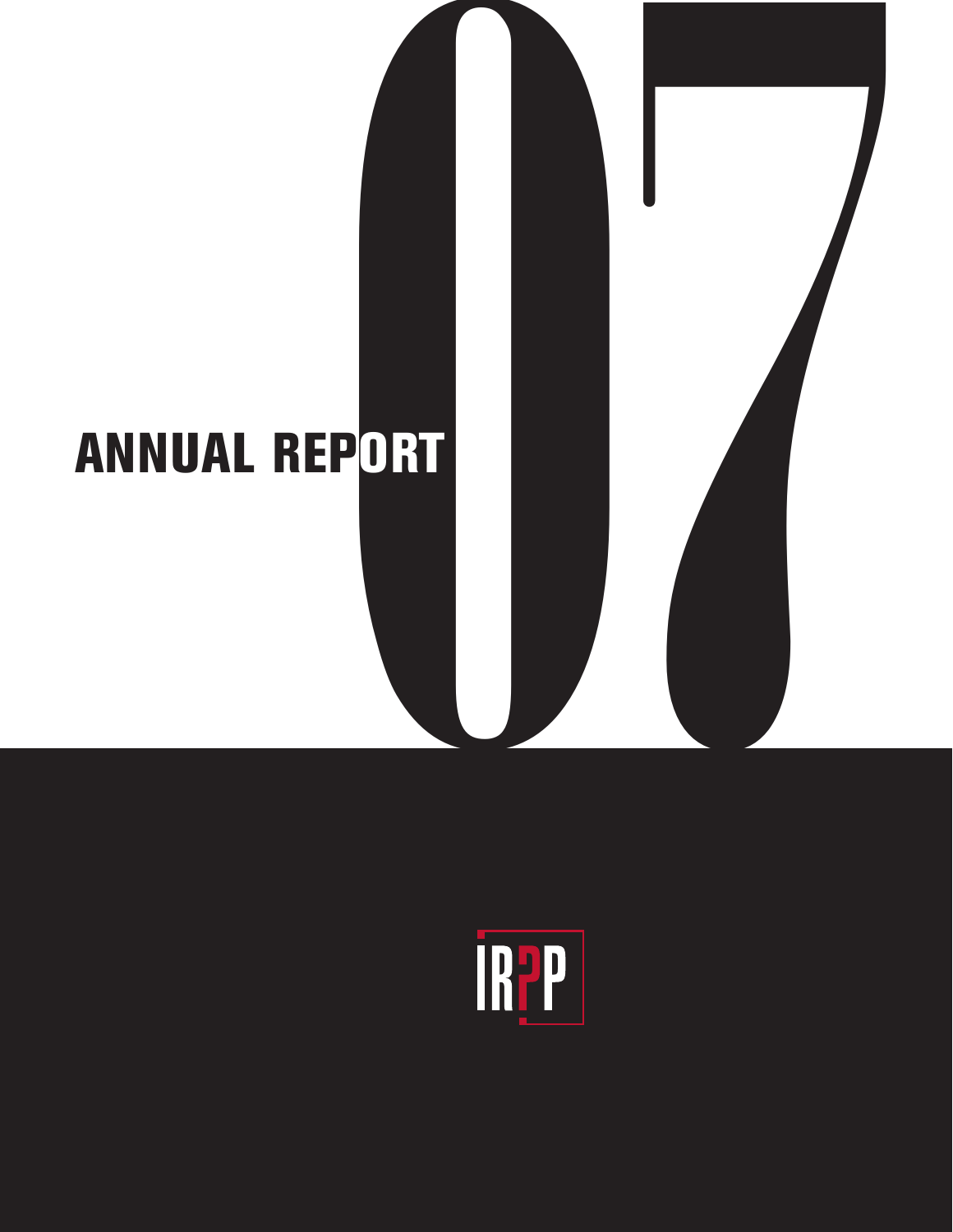# 07 **ANNUAL REPORT**

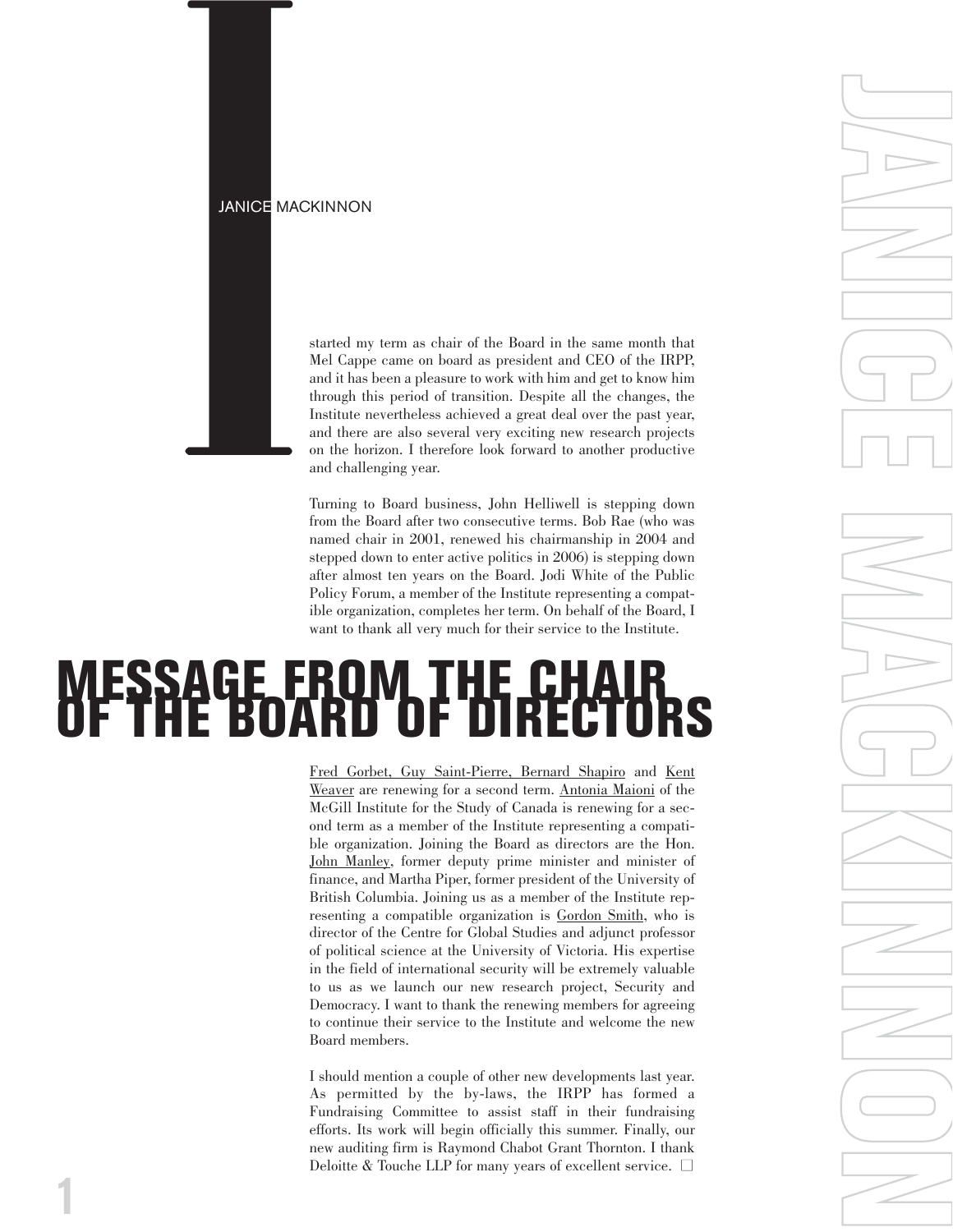### JANICE MACKINNON



**1**

**IANIOE MACKINNON**<br> **Started** my term as chair of the Board in the same month that<br>
MeI Cappe came on board as president and CEO of the IRPP,<br>
and it has been a pleasure to work with him and get to have him<br>
through this Mel Cappe came on board as president and CEO of the IRPP, and it has been a pleasure to work with him and get to know him through this period of transition. Despite all the changes, the Institute nevertheless achieved a great deal over the past year, and there are also several very exciting new research projects on the horizon. I therefore look forward to another productive and challenging year.

Turning to Board business, John Helliwell is stepping down from the Board after two consecutive terms. Bob Rae (who was named chair in 2001, renewed his chairmanship in 2004 and stepped down to enter active politics in 2006) is stepping down after almost ten years on the Board. Jodi White of the Public Policy Forum, a member of the Institute representing a compatible organization, completes her term. On behalf of the Board, I want to thank all very much for their service to the Institute.

**JANICE MACKINNON**

# **MESSAGE FROM THE CHAIR OF THE BOARD OF DIRECTORS**

[Fred Gorbet,](http://www.irpp.org/about/gorbet.htm) [Guy Saint-Pier](http://www.irpp.org/about/stpierre.htm)re, [Bernard Shapir](http://www.irpp.org/about/shapiro.htm)o and [Kent](http://www.irpp.org/about/weaver.htm) [Weaver](http://www.irpp.org/about/weaver.htm) are renewing for a second term. [Antonia Maioni](http://www.irpp.org/about/maioni.htm) of the McGill Institute for the Study of Canada is renewing for a second term as a member of the Institute representing a compatible organization. Joining the Board as directors are the Hon. [John Manley,](http://www.irpp.org/about/manley.htm) former deputy prime minister and minister of finance, and [Martha Piper,](http://www.irpp.org/about/piper.htm) former president of the University of British Columbia. Joining us as a member of the Institute representing a compatible organization is [Gordon Smith,](http://www.irpp.org/about/smith.htm) who is director of the Centre for Global Studies and adjunct professor of political science at the University of Victoria. His expertise in the field of international security will be extremely valuable to us as we launch our new research project, Security and Democracy. I want to thank the renewing members for agreeing to continue their service to the Institute and welcome the new Board members.

I should mention a couple of other new developments last year. As permitted by the by-laws, the IRPP has formed a Fundraising Committee to assist staff in their fundraising efforts. Its work will begin officially this summer. Finally, our new auditing firm is Raymond Chabot Grant Thornton. I thank Deloitte & Touche LLP for many years of excellent service. □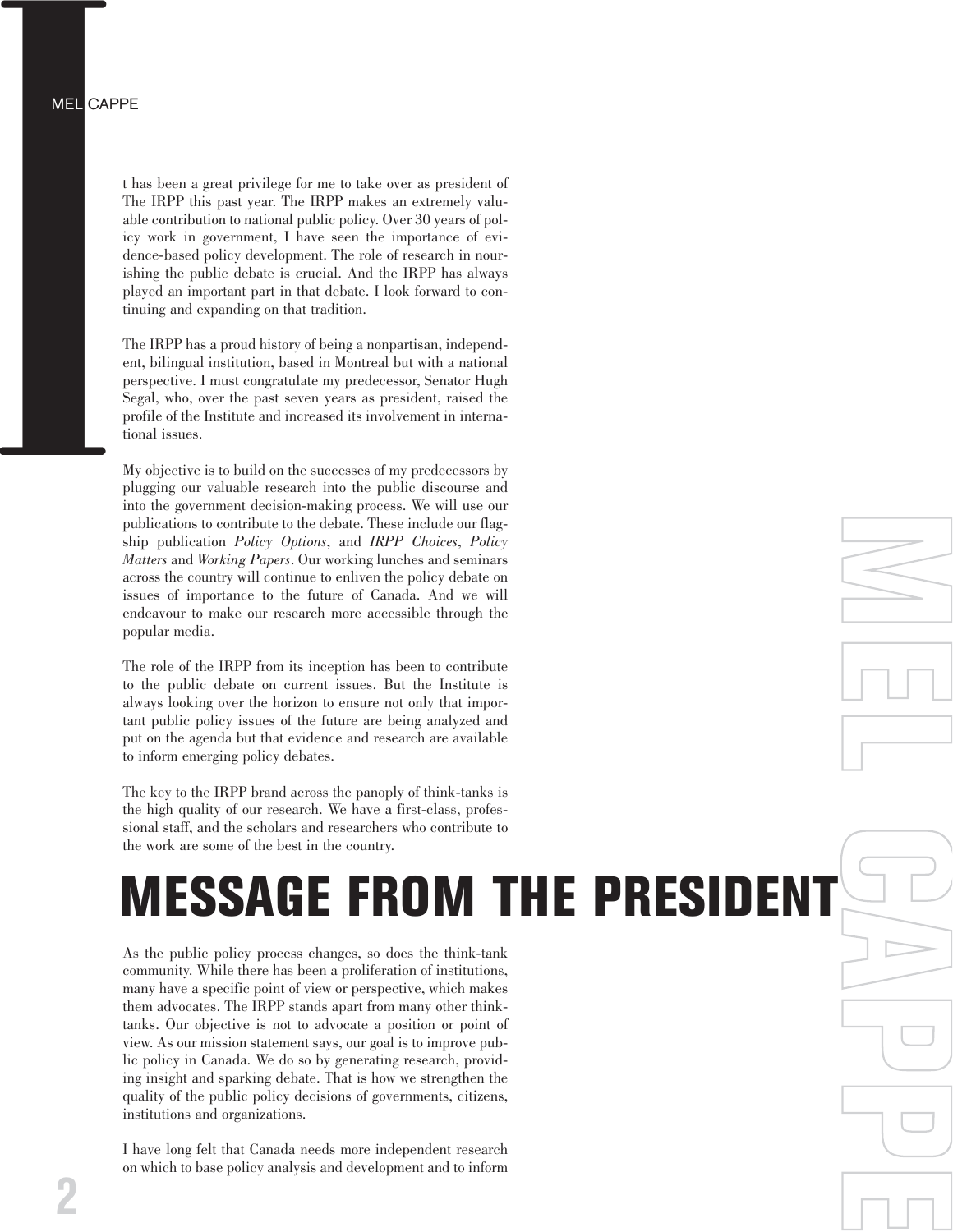t has been a great privilege for me to take over as president of The IRPP this past year. The IRPP makes an extremely valuable contribution to national public policy. Over 30 years of policy work in government, I have seen the importance of evidence-based policy development. The role of research in nourishing the public debate is crucial. And the IRPP has always played an important part in that debate. I look forward to continuing and expanding on that tradition.

The IRPP has a proud history of being a nonpartisan, independent, bilingual institution, based in Montreal but with a national perspective. I must congratulate my predecessor, Senator Hugh Segal, who, over the past seven years as president, raised the profile of the Institute and increased its involvement in international issues.

My objective is to build on the successes of my predecessors by plugging our valuable research into the public discourse and into the government decision-making process. We will use our publications to contribute to the debate. These include our flagship publication *Policy Options*, and *IRPP Choices*, *Policy Matters* and *Working Papers*. Our working lunches and seminars across the country will continue to enliven the policy debate on issues of importance to the future of Canada. And we will endeavour to make our research more accessible through the popular media.

The role of the IRPP from its inception has been to contribute to the public debate on current issues. But the Institute is always looking over the horizon to ensure not only that important public policy issues of the future are being analyzed and put on the agenda but that evidence and research are available to inform emerging policy debates.

The key to the IRPP brand across the panoply of think-tanks is the high quality of our research. We have a first-class, professional staff, and the scholars and researchers who contribute to the work are some of the best in the country.

# **ESSAGE FROM THE PRESID**

**M**

**FE** 

**L C**

**A**

**P**

**P**

**FE** 

As the public policy process changes, so does the think-tank community. While there has been a proliferation of institutions, many have a specific point of view or perspective, which makes them advocates. The IRPP stands apart from many other thinktanks. Our objective is not to advocate a position or point of view. As our mission statement says, our goal is to improve public policy in Canada. We do so by generating research, providing insight and sparking debate. That is how we strengthen the quality of the public policy decisions of governments, citizens, institutions and organizations.

I have long felt that Canada needs more independent research on which to base policy analysis and development and to inform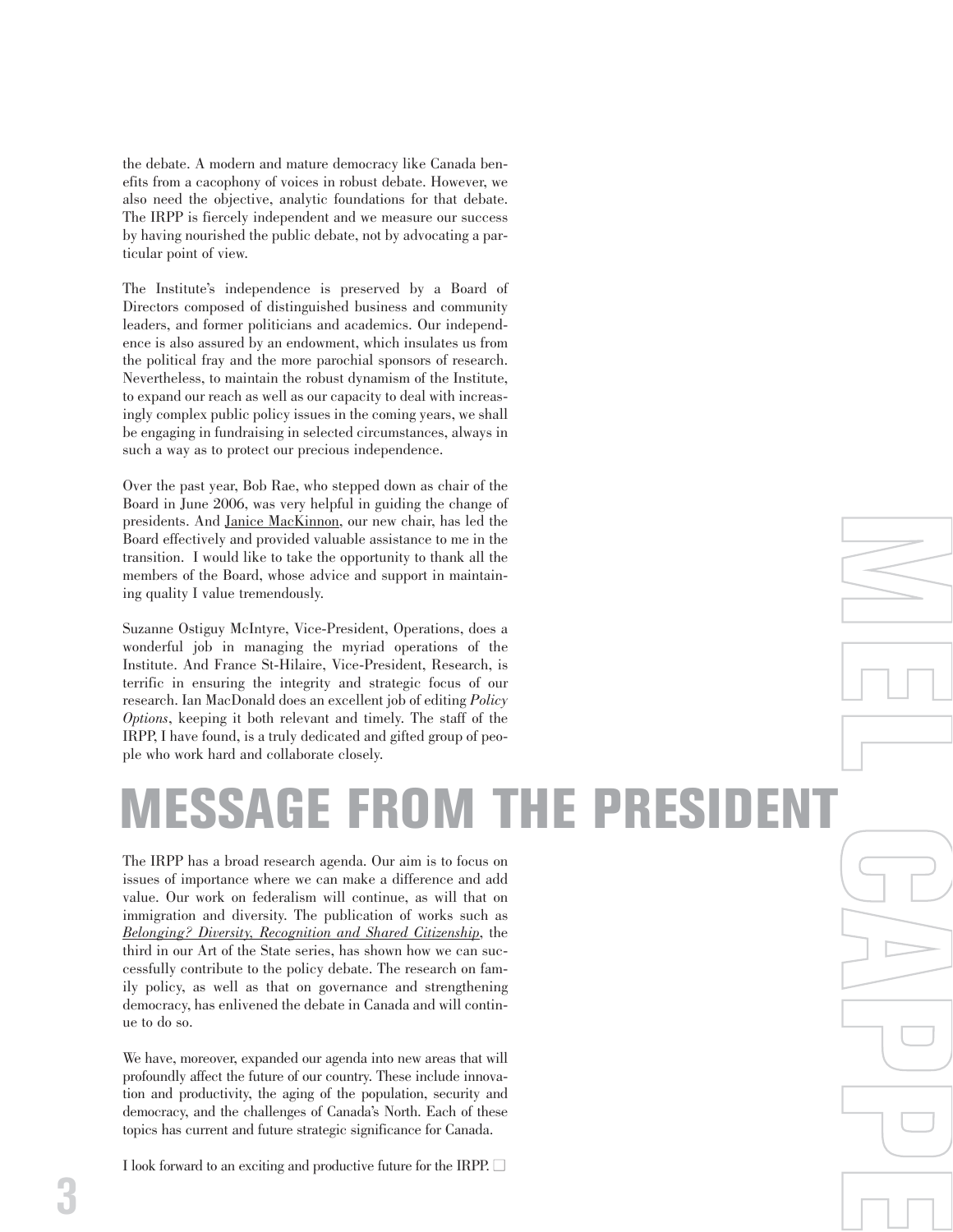the debate. A modern and mature democracy like Canada benefits from a cacophony of voices in robust debate. However, we also need the objective, analytic foundations for that debate. The IRPP is fiercely independent and we measure our success by having nourished the public debate, not by advocating a particular point of view.

The Institute's independence is preserved by a Board of Directors composed of distinguished business and community leaders, and former politicians and academics. Our independence is also assured by an endowment, which insulates us from the political fray and the more parochial sponsors of research. Nevertheless, to maintain the robust dynamism of the Institute, to expand our reach as well as our capacity to deal with increasingly complex public policy issues in the coming years, we shall be engaging in fundraising in selected circumstances, always in such a way as to protect our precious independence.

Over the past year, Bob Rae, who stepped down as chair of the Board in June 2006, was very helpful in guiding the change of presidents. And [Janice MacKinnon,](http://www.irpp.org/about/mackinnon.htm) our new chair, has led the Board effectively and provided valuable assistance to me in the transition. I would like to take the opportunity to thank all the members of the Board, whose advice and support in maintaining quality I value tremendously.

Suzanne Ostiguy McIntyre, Vice-President, Operations, does a wonderful job in managing the myriad operations of the Institute. And France St-Hilaire, Vice-President, Research, is terrific in ensuring the integrity and strategic focus of our research. Ian MacDonald does an excellent job of editing *Policy Options*, keeping it both relevant and timely. The staff of the IRPP, I have found, is a truly dedicated and gifted group of people who work hard and collaborate closely.

## **MESSAGE FROM THE PRESIDENT**

**M**

**FE** 

**L C**

**A**

**P**

**P**

**FE** 

The IRPP has a broad research agenda. Our aim is to focus on issues of importance where we can make a difference and add value. Our work on federalism will continue, as will that on immigration and diversity. The publication of works such as *[Belonging? Diversity, Recognition and Shared Citizenship](http://www.irpp.org/books/archive/16868623.htm)*, the third in our Art of the State series, has shown how we can successfully contribute to the policy debate. The research on family policy, as well as that on governance and strengthening democracy, has enlivened the debate in Canada and will continue to do so.

We have, moreover, expanded our agenda into new areas that will profoundly affect the future of our country. These include innovation and productivity, the aging of the population, security and democracy, and the challenges of Canada's North. Each of these topics has current and future strategic significance for Canada.

I look forward to an exciting and productive future for the IRPP.  $\Box$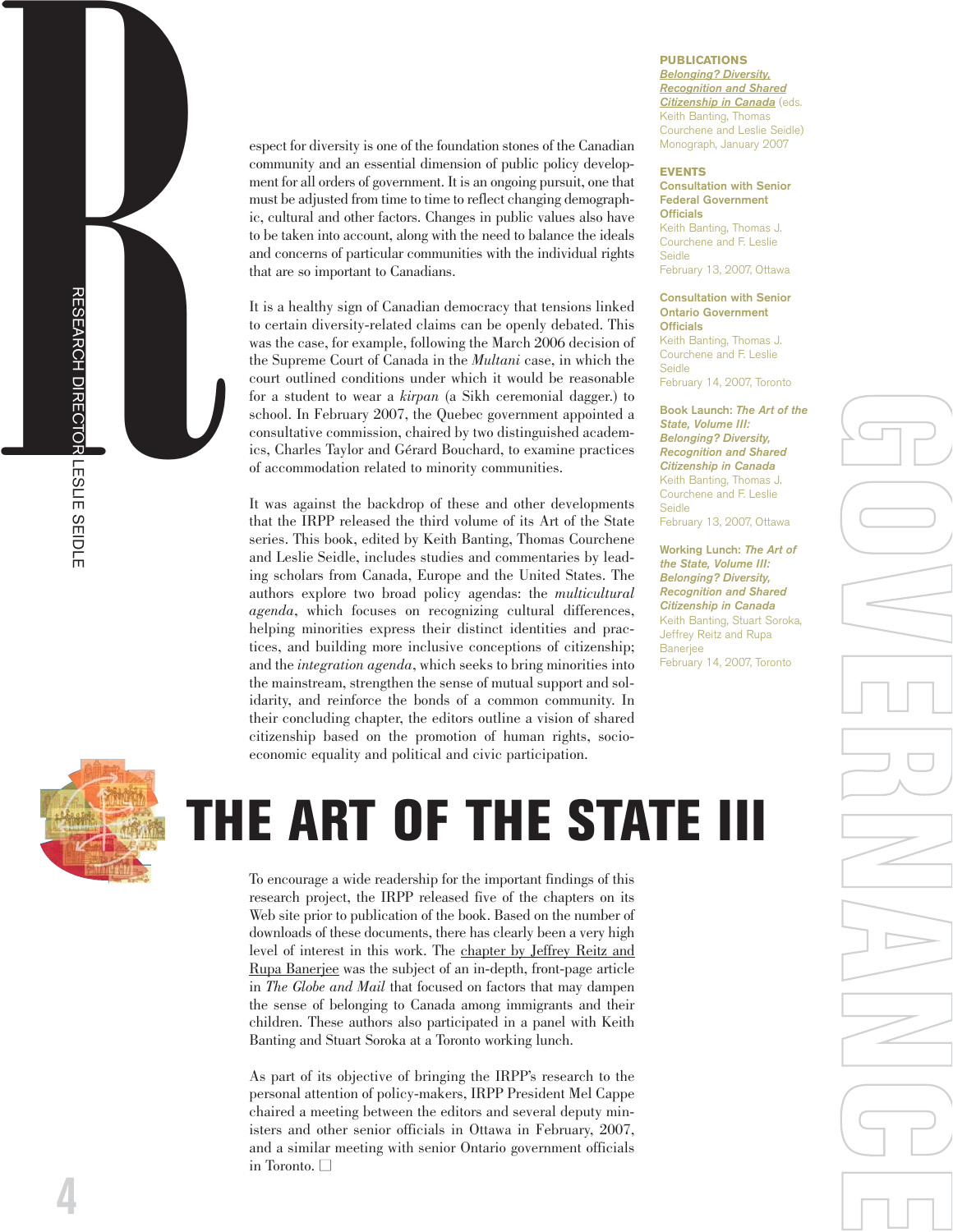espect for diversity is one of the foundation stones of the Canadian community and an essential dimension of public policy development for all orders of government. It is an ongoing pursuit, one that must be adjusted from time to time to reflect changing demographic, cultural and other factors. Changes in public values also have to be taken into account, along with the need to balance the ideals and concerns of particular communities with the individual rights that are so important to Canadians.

It is a healthy sign of Canadian democracy that tensions linked to certain diversity-related claims can be openly debated. This was the case, for example, following the March 2006 decision of the Supreme Court of Canada in the *Multani* case, in which the court outlined conditions under which it would be reasonable for a student to wear a *kirpan* (a Sikh ceremonial dagger.) to school. In February 2007, the Quebec government appointed a consultative commission, chaired by two distinguished academics, Charles Taylor and Gérard Bouchard, to examine practices of accommodation related to minority communities.

It was against the backdrop of these and other developments that the IRPP released the third volume of its Art of the State series. This book, edited by Keith Banting, Thomas Courchene and Leslie Seidle, includes studies and commentaries by leading scholars from Canada, Europe and the United States. The authors explore two broad policy agendas: the *multicultural agenda*, which focuses on recognizing cultural differences, helping minorities express their distinct identities and practices, and building more inclusive conceptions of citizenship; and the *integration agenda*, which seeks to bring minorities into the mainstream, strengthen the sense of mutual support and solidarity, and reinforce the bonds of a common community. In their concluding chapter, the editors outline a vision of shared citizenship based on the promotion of human rights, socioeconomic equality and political and civic participation.

### **PUBLICATIONS**

*Belonging? Diversity, [Recognition and Shared](http://www.irpp.org/books/archive/16868623.htm) Citizenship in Canada* (eds. Keith Banting, Thomas Courchene and Leslie Seidle) Monograph, January 2007

### **EVENTS**

**Consultation with Senior Federal Government Officials**

Keith Banting, Thomas J. Courchene and F. Leslie Seidle February 13, 2007, Ottawa

### **Consultation with Senior Ontario Government Officials**

Keith Banting, Thomas J. Courchene and F. Leslie Seidle February 14, 2007, Toronto

**Book Launch:** *The Art of the State, Volume III: Belonging? Diversity, Recognition and Shared Citizenship in Canada* Keith Banting, Thomas J. Courchene and F. Leslie Seidle

**G**

**O**

**V**

**E** 

**R**<br>B<br>C<br>B<br>C<br>B<br>C<br>B<br>C<br>S<br>G<br>C<br>S<br>E<br><br><br><br><br><br><br><br><br><br><br><br><br><br><br><br><br><br><br>

**N**

**A**

**N**

**C**

**FE** 

February 13, 2007, Ottawa

**Working Lunch:** *The Art of the State, Volume III: Belonging? Diversity, Recognition and Shared Citizenship in Canada* Keith Banting, Stuart Soroka, Jeffrey Reitz and Rupa **Baneriee** February 14, 2007, Toronto



R

RESEARCH DIRECTOR LESLIE SEIDLE

# **THE ART OF THE STATE III**

To encourage a wide readership for the important findings of this research project, the IRPP released five of the chapters on its Web site prior to publication of the book. Based on the number of downloads of these documents, there has clearly been a very high level of interest in this work. The [chapter by Jeffrey Reitz and](http://www.irpp.org/books/archive/AOTS3/reitz.pdf) [Rupa Banerjee](http://www.irpp.org/books/archive/AOTS3/reitz.pdf) was the subject of an in-depth, front-page article in *The Globe and Mail* that focused on factors that may dampen the sense of belonging to Canada among immigrants and their children. These authors also participated in a panel with Keith Banting and Stuart Soroka at a Toronto working lunch.

As part of its objective of bringing the IRPP's research to the personal attention of policy-makers, IRPP President Mel Cappe chaired a meeting between the editors and several deputy ministers and other senior officials in Ottawa in February, 2007, and a similar meeting with senior Ontario government officials in Toronto.  $\square$ 

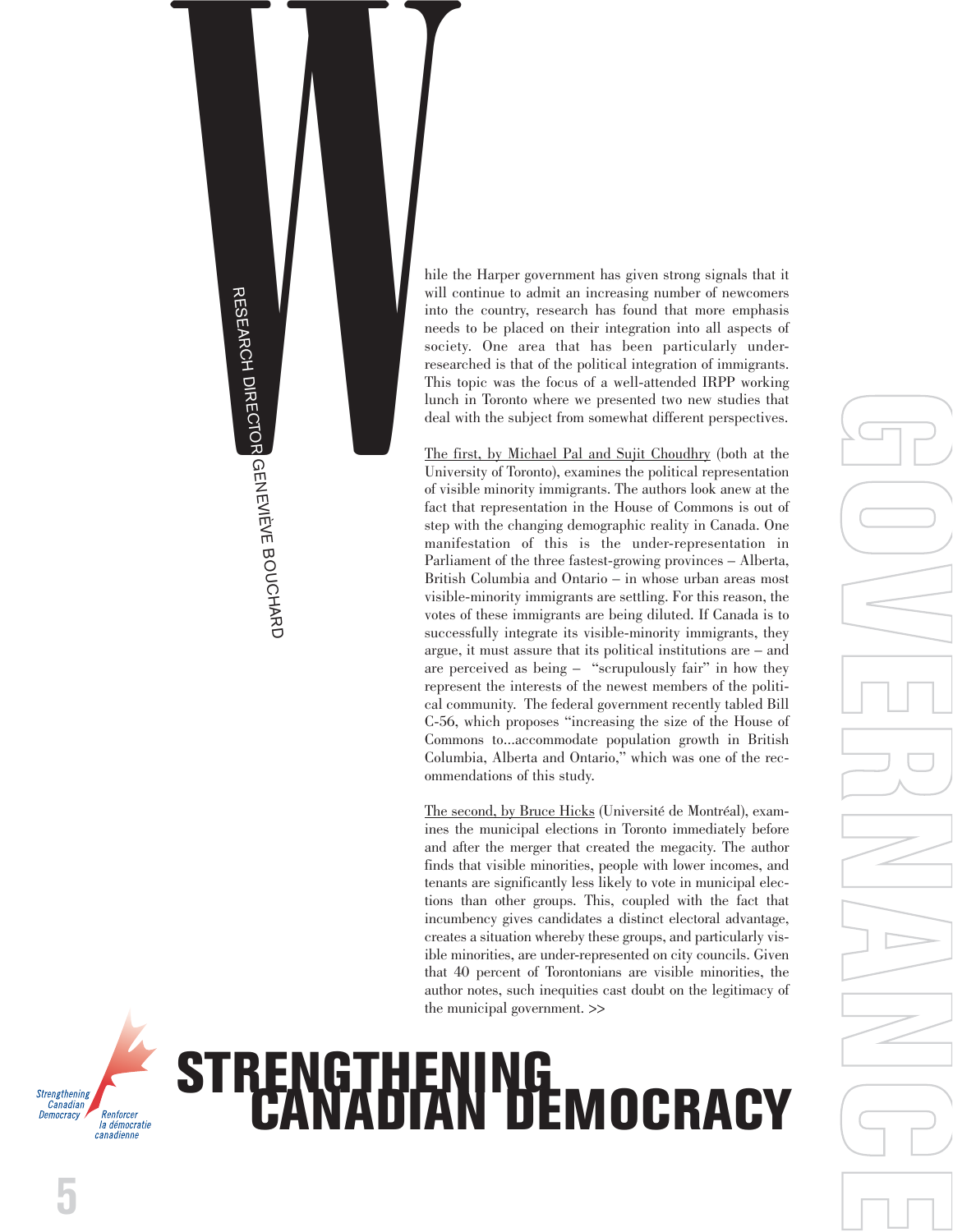

hile the Harper government has given strong signals that it will continue to admit an increasing number of newcomers into the country, research has found that more emphasis needs to be placed on their integration into all aspects of society. One area that has been particularly underresearched is that of the political integration of immigrants. This topic was the focus of a well-attended IRPP working lunch in Toronto where we presented two new studies that deal with the subject from somewhat different perspectives.

[The first, by Michael Pal and Sujit](http://www.irpp.org/choices/archive/vol13no1.pdf) Choudhry (both at the University of Toronto), examines the political representation of visible minority immigrants. The authors look anew at the fact that representation in the House of Commons is out of step with the changing demographic reality in Canada. One manifestation of this is the under-representation in Parliament of the three fastest-growing provinces – Alberta, British Columbia and Ontario – in whose urban areas most visible-minority immigrants are settling. For this reason, the votes of these immigrants are being diluted. If Canada is to successfully integrate its visible-minority immigrants, they argue, it must assure that its political institutions are – and are perceived as being – "scrupulously fair" in how they represent the interests of the newest members of the political community. The federal government recently tabled Bill C-56, which proposes "increasing the size of the House of Commons to...accommodate population growth in British Columbia, Alberta and Ontario," which was one of the recommendations of this study.

[The second, by Bruce Hicks](http://www.irpp.org/wp/archive/wp2006-03.pdf) (Université de Montréal), examines the municipal elections in Toronto immediately before and after the merger that created the megacity. The author finds that visible minorities, people with lower incomes, and tenants are significantly less likely to vote in municipal elections than other groups. This, coupled with the fact that incumbency gives candidates a distinct electoral advantage, creates a situation whereby these groups, and particularly visible minorities, are under-represented on city councils. Given that 40 percent of Torontonians are visible minorities, the author notes, such inequities cast doubt on the legitimacy of the municipal government. >>

# STRENGTHENING<br>CANADIAN DEMOCRACY

**G O V E R**<br>B<br>C<br>B<br>C<br>B<br>C<br>B<br>C<br>S<br>G<br>C<br>S<br>E<br><br><br><br><br><br><br><br><br><br><br><br><br><br><br><br><br><br><br> **N A N C FE** 



**5**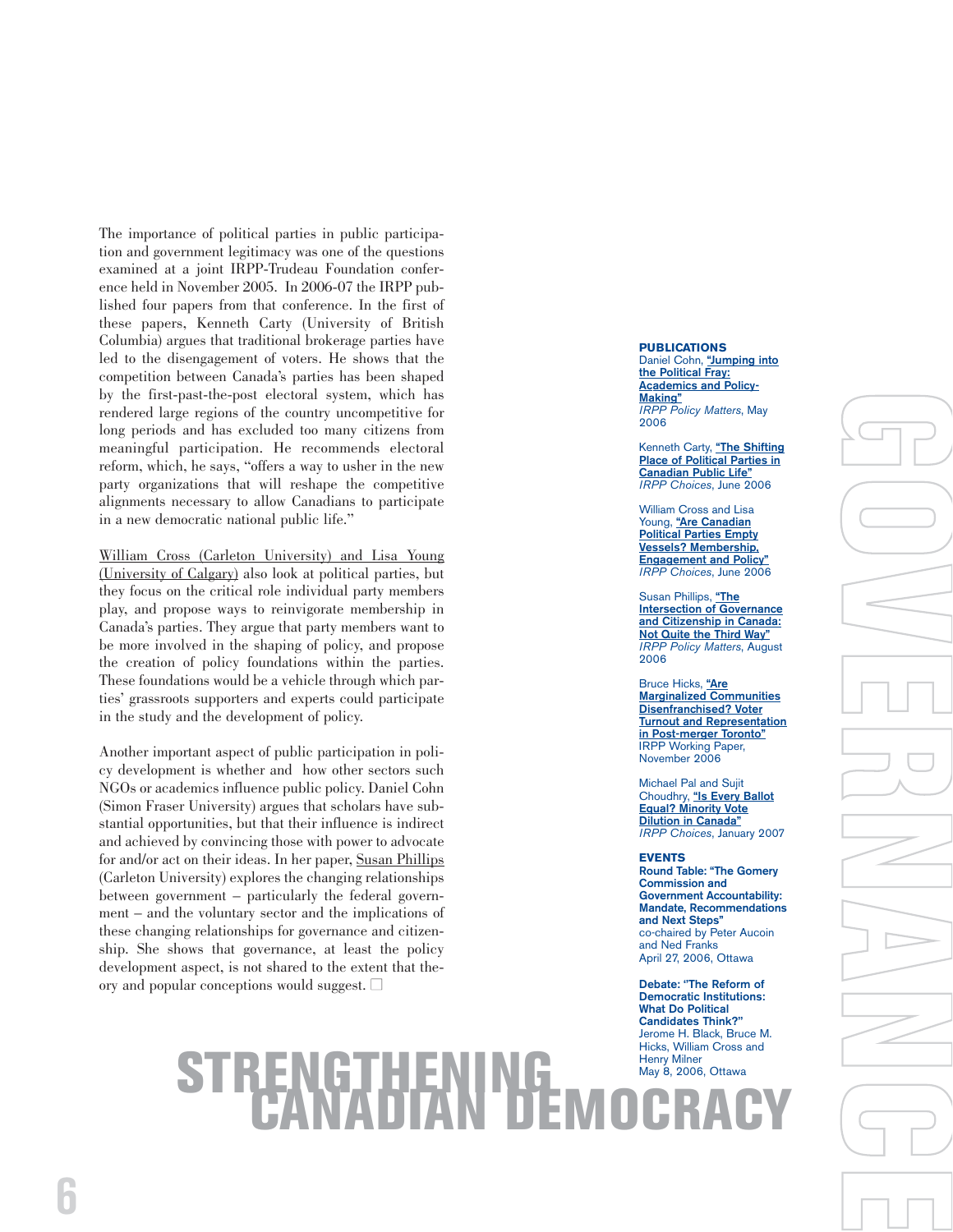The importance of political parties in public participation and government legitimacy was one of the questions examined at a joint IRPP-Trudeau Foundation conference held in November 2005. In 2006-07 the IRPP published four papers from that conference. In the first of these papers, Kenneth Carty (University of British Columbia) argues that traditional brokerage parties have led to the disengagement of voters. He shows that the competition between Canada's parties has been shaped by the first-past-the-post electoral system, which has rendered large regions of the country uncompetitive for long periods and has excluded too many citizens from meaningful participation. He recommends electoral reform, which, he says, "offers a way to usher in the new party organizations that will reshape the competitive alignments necessary to allow Canadians to participate in a new democratic national public life."

[William Cross \(Carleton University\) and Lisa Young](http://www.irpp.org/choices/archive/vol12no4.pdf) [\(University of Calgary\)](http://www.irpp.org/choices/archive/vol12no4.pdf) also look at political parties, but they focus on the critical role individual party members play, and propose ways to reinvigorate membership in Canada's parties. They argue that party members want to be more involved in the shaping of policy, and propose the creation of policy foundations within the parties. These foundations would be a vehicle through which parties' grassroots supporters and experts could participate in the study and the development of policy.

Another important aspect of public participation in policy development is whether and how other sectors such NGOs or academics influence public policy. Daniel Cohn (Simon Fraser University) argues that scholars have substantial opportunities, but that their influence is indirect and achieved by convincing those with power to advocate for and/or act on their ideas. In her paper, [Susan Phillips](http://www.irpp.org/pm/archive/pmvol7no4.pdf) (Carleton University) explores the changing relationships between government – particularly the federal government – and the voluntary sector and the implications of these changing relationships for governance and citizenship. She shows that governance, at least the policy development aspect, is not shared to the extent that theory and popular conceptions would suggest.  $\square$ 

### **PUBLICATIONS**

Daniel Cohn, **["Jumping into](http://www.irpp.org/pm/archive/pmvol7no3.pdf) the Political Fray: [Academics and Policy-](http://www.irpp.org/pm/archive/pmvol7no3.pdf)Making"** *IRPP Policy Matters*, May 2006

**G**

**O**

**V**

**E** 

**R**<br>B<br>C<br>B<br>C<br>B<br>C<br>B<br>C<br>S<br>G<br>C<br>S<br>E<br><br><br><br><br><br><br><br><br><br><br><br><br><br><br><br><br><br><br>

**N**

**A**

**N**

**C**

**FE** 

Kenneth Carty, **["The Shifting](http://www.irpp.org/choices/archive/vol12no4.pdf) [Place of Political Parties in](http://www.irpp.org/choices/archive/vol12no4.pdf) Canadian Public Life"** *IRPP Choices*, June 2006

William Cross and Lisa Young, **"Are Canadian Political Parties Empty [Vessels? Membership,](http://www.irpp.org/choices/archive/vol12no4.pdf) Engagement and Policy"** *IRPP Choices*, June 2006

Susan Phillips, **["The](http://www.irpp.org/pm/archive/pmvol7no4.pdf) [Intersection of Governance](http://www.irpp.org/pm/archive/pmvol7no4.pdf) and Citizenship in Canada: Not Quite the Third Way"** *IRPP Policy Matters*, August 2006

Bruce Hicks, **["Are](http://www.irpp.org/wp/archive/wp2006-03.pdf) Marginalized Communities Disenfranchised? Voter [Turnout and Representation](http://www.irpp.org/wp/archive/wp2006-03.pdf) in Post-merger Toronto"** IRPP Working Paper, November 2006

Michael Pal and Sujit Choudhry, **"Is Every Ballot [Equal? Minority Vote](http://www.irpp.org/choices/archive/vol13no1.pdf) Dilution in Canada"** *IRPP Choices*, January 2007

### **EVENTS**

**Round Table: "The Gomery Commission and Government Accountability: Mandate, Recommendations and Next Steps"** co-chaired by Peter Aucoin and Ned Franks April 27, 2006, Ottawa

**Debate: ''The Reform of Democratic Institutions: What Do Political Candidates Think?''** Jerome H. Black, Bruce M. Hicks, William Cross and

### Henry Milner May 8, 2006, Ottawa **STRENGTHENING CANADIAN DEMOCRACY**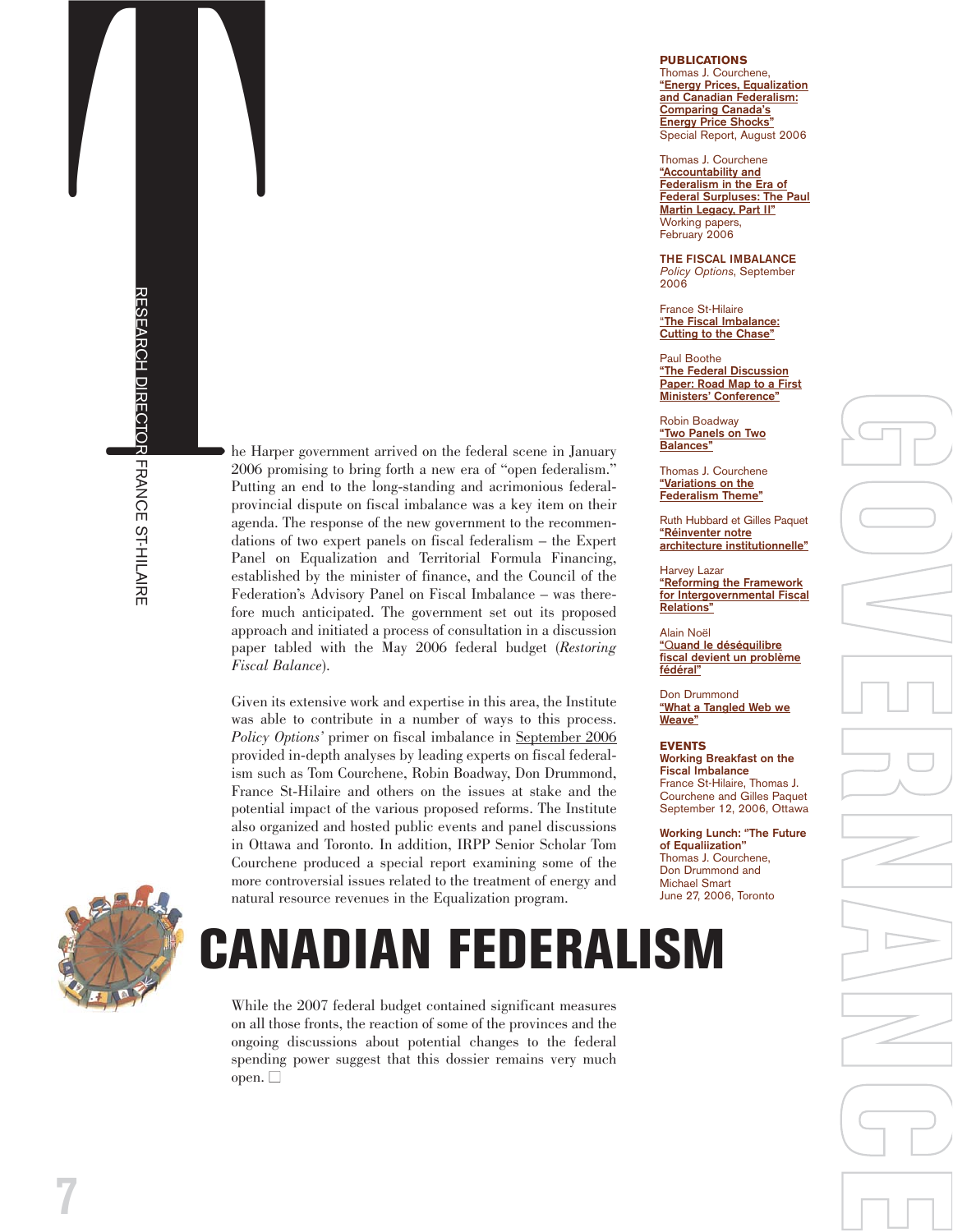The Harper government arrived on the federal scene in January<br>  $\frac{1}{2}$ <br>  $\frac{1}{2}$ <br>  $\frac{1}{2}$ <br>  $\frac{1}{2}$ <br>  $\frac{1}{2}$ <br>  $\frac{1}{2}$ <br>  $\frac{1}{2}$ <br>  $\frac{1}{2}$ <br>  $\frac{1}{2}$ <br>  $\frac{1}{2}$ <br>  $\frac{1}{2}$ <br>  $\frac{1}{2}$ <br>  $\frac{1}{2}$ <br>  $\frac{1}{2}$ <br>  $\frac{$ 2006 promising to bring forth a new era of "open federalism." Putting an end to the long-standing and acrimonious federalprovincial dispute on fiscal imbalance was a key item on their agenda. The response of the new government to the recommendations of two expert panels on fiscal federalism – the Expert Panel on Equalization and Territorial Formula Financing, established by the minister of finance, and the Council of the Federation's Advisory Panel on Fiscal Imbalance – was therefore much anticipated. The government set out its proposed approach and initiated a process of consultation in a discussion paper tabled with the May 2006 federal budget (*Restoring Fiscal Balance*).

> Given its extensive work and expertise in this area, the Institute was able to contribute in a number of ways to this process. *Policy Options'* primer on fiscal imbalance in [September 2006](http://www.irpp.org/po/archive/po0906.htm) provided in-depth analyses by leading experts on fiscal federalism such as Tom Courchene, Robin Boadway, Don Drummond, France St-Hilaire and others on the issues at stake and the potential impact of the various proposed reforms. The Institute also organized and hosted public events and panel discussions in Ottawa and Toronto. In addition, IRPP Senior Scholar Tom Courchene produced a special report examining some of the more controversial issues related to the treatment of energy and natural resource revenues in the Equalization program.



## **CANADIAN FEDERALISM**

While the 2007 federal budget contained significant measures on all those fronts, the reaction of some of the provinces and the ongoing discussions about potential changes to the federal spending power suggest that this dossier remains very much open.  $\Box$ 

### **PUBLICATIONS**

Thomas J. Courchene, **["Energy Prices, Equalization](http://www.irpp.org/miscpubs/archive/courchene_QLJ.pdf) and Canadian Federalism: Comparing Canada's Energy Price Shocks"** Special Report, August 2006

Thomas J. Courchene **"Accountability and Federalism in the Era of [Federal Surpluses: The Paul](http://www.irpp.org/po/archive/sep06/sthilaire.pdf) Martin Legacy, Part II"** Working papers, February 2006

**THE FISCAL IMBALANCE** *Policy Options*, September 2006

France St-Hilaire "**[The Fiscal Imbalance:](http://www.irpp.org/po/archive/sep06/sthilaire.pdf) Cutting to the Chase"**

Paul Boothe **["Th](http://www.irpp.org/po/archive/sep06/boothe.pdf)e Federal Discussion Paper: Road Map to a First Ministers' Conference"**

Robin Boadway **["Two Panels on Two](http://www.irpp.org/po/archive/sep06/boadway.pdf) Balances"**

Thomas J. Courchene **"Variations on the [Federalism Theme"](http://www.irpp.org/po/archive/sep06/courchene.pdf)**

Ruth Hubbard et Gilles Paquet **"Réinventer notre ar [chitecture institutionnelle"](http://www.irpp.org/po/archive/sep06/hubbard.pdf)**

Harvey Lazar **"Reforming the Framework [for Intergovernmental Fiscal](http://www.irpp.org/po/archive/sep06/lazar.pdf) Relations"**

Alain Noël **"**Q**uand le déséquilibr e [fiscal devient un problème](http://www.irpp.org/po/archive/sep06/noel.pdf) fédéral"**

Don Drummond **["What a Tangled Web we](http://www.irpp.org/po/archive/sep06/drummond.pdf) Weave"**

**EVENTS Working Breakfast on the Fiscal Imbalance** France St-Hilaire, Thomas J. Courchene and Gilles Paquet September 12, 2006, Ottawa

**Working Lunch: ''The Future of Equaliization''** Thomas J. Courchene, Don Drummond and Michael Smart June 27, 2006, Toronto

GOVERNANCE RE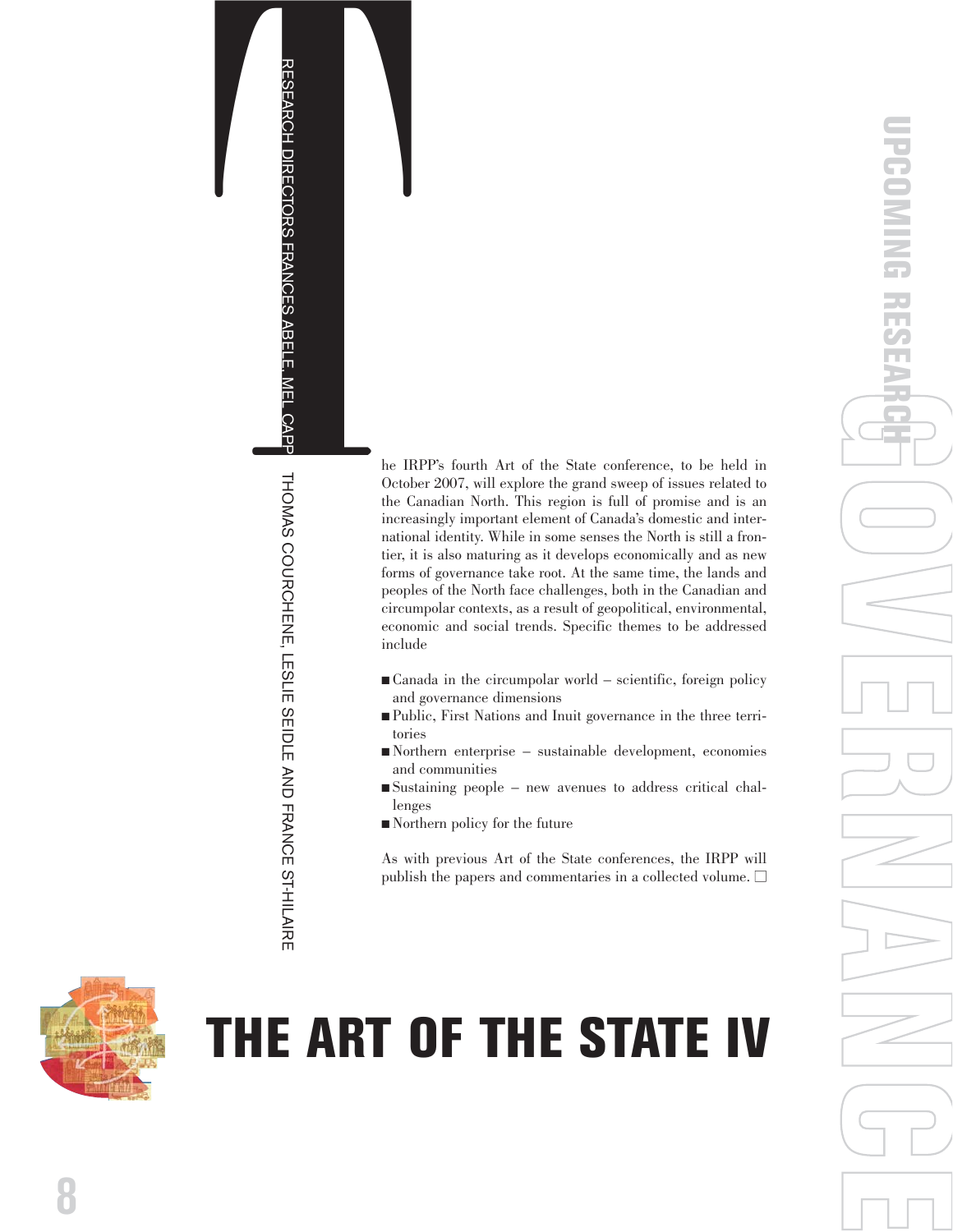NOO SVMOHD LOWER THE WELF SHOLD SHOLD SHOLD AND THE REAL CORPORATION OF THE REAL CORPORATION OF THE REAL CORPORATION OF THE REAL CORPORATION OF THE REAL CORPORATION OF THE REAL CORPORATION OF THE REAL CORPORATION OF THE RE he IRPP's fourth Art of the State conference, to be held in October 2007, will explore the grand sweep of issues related to the Canadian North. This region is full of promise and is an increasingly important element of Canada's domestic and international identity. While in some senses the North is still a frontier, it is also maturing as it develops economically and as new forms of governance take root. At the same time, the lands and peoples of the North face challenges, both in the Canadian and circumpolar contexts, as a result of geopolitical, environmental, economic and social trends. Specific themes to be addressed include

- Canada in the circumpolar world scientific, foreign policy and governance dimensions
- Public, First Nations and Inuit governance in the three territories
- Northern enterprise sustainable development, economies and communities
- Sustaining people new avenues to address critical challenges
- Northern policy for the future

As with previous Art of the State conferences, the IRPP will publish the papers and commentaries in a collected volume.  $\Box$ 



RESEARCH DIRECTORS FRANCES ABELE, MEL CAPPE, THOMAS COURCHENE, LESLIE SEIDLE AND FRANCE ST-HILAIRE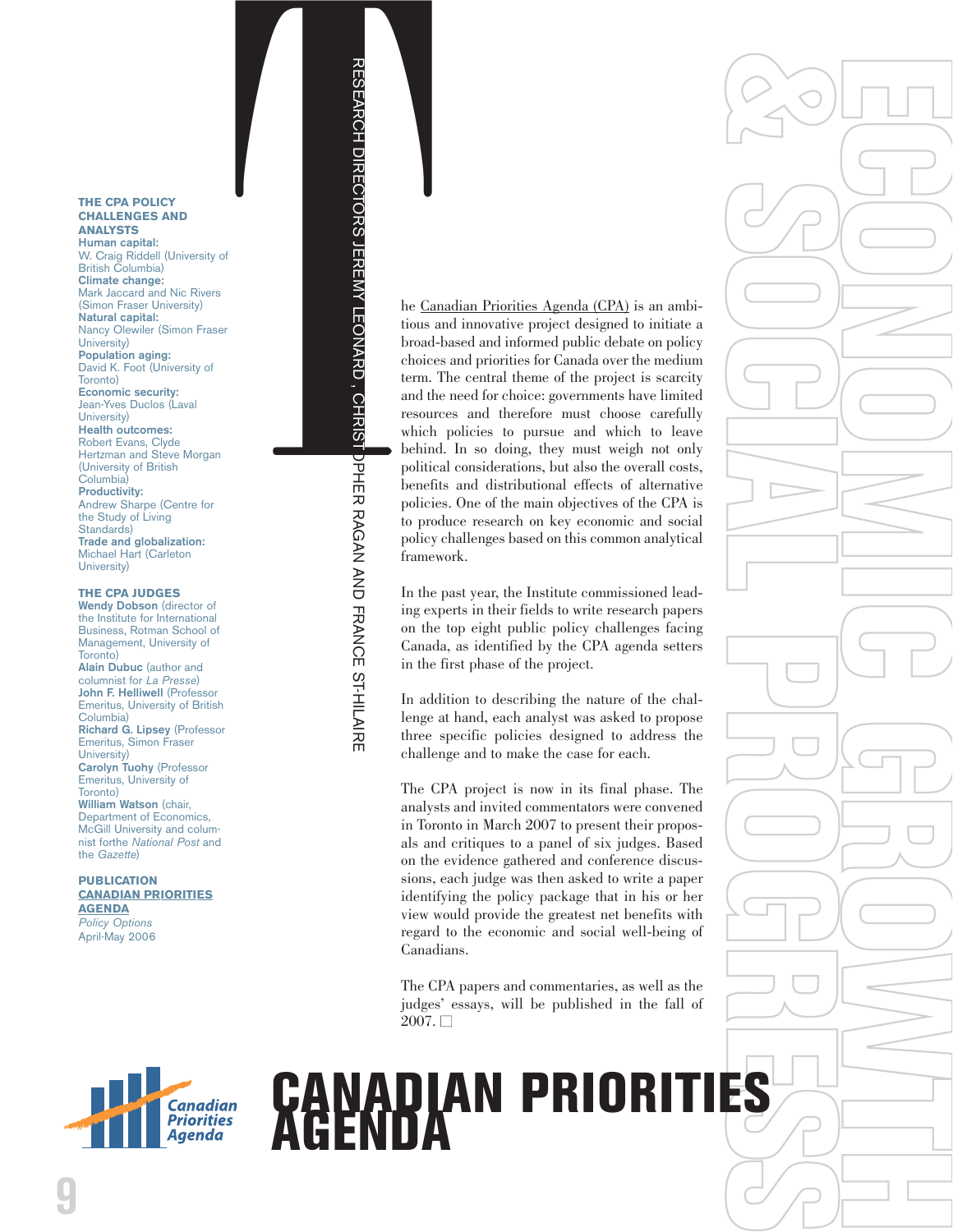### **THE CPA POLICY CHALLENGES AND ANALYSTS**

**Human capital:** W. Craig Riddell (University of British Columbia) **Climate change:** Mark Jaccard and Nic Rivers (Simon Fraser University) **Natural capital:** Nancy Olewiler (Simon Fraser University) **Population aging:** David K. Foot (University of Toronto) **Economic security:** Jean-Yves Duclos (Laval University) **Health outcomes:** Robert Evans, Clyde Hertzman and Steve Morgan (University of British Columbia) **Productivity:** Andrew Sharpe (Centre for the Study of Living Standards) **Trade and globalization:** Michael Hart (Carleton University)

### **THE CPA JUDGES**

**Wendy Dobson** (director of the Institute for International Business, Rotman School of Management, University of Toronto) **Alain Dubuc** (author and columnist for *La Presse* ) **John F. Helliwell** (Professor Emeritus, University of British Columbia) **Richard G. Lipsey** (Professor Emeritus, Simon Fraser University) **Carolyn Tuohy** (Professor Emeritus, University of Toronto) **William Watson** (chair, Department of Economics, McGill University and colum-

nist forthe *National Post* and the *Gazette*) **PUBLICATION**

**[CANADIAN PR](http://www.irpp.org/po/archive/po0406.htm) IORITI E S A G E N D A** *Policy Options*

April-May 2006

PROTOCOLOGY<br>
THE CARD PROTOCOLOGY<br>
THE CARD PROTOCOLOGY<br>
THE CARD PROTOCOLOGY<br>
THE CARD PROTOCOLOGY<br>
THE CARD PROTOCOLOGY<br>
THE CARD PROTOCOLOGY<br>
PROTOCOLOGY<br>
THE POSITION PROTOCOLOGY<br>
THE POSITION PROTOCOLOGY<br>
THE POSITION

**CANADIAN PRIORITIES AGENCIE CANADIAN PRIORITIES AGENCIE CAN AND ANNOUNCED CANADIAN PRIORITIES AGENCIE CAN AND CONTINUES AGENCIE CAN AND CONTINUES AGENCIE CAN AND CONTINUES AGENCIE CAN AND FRANCE STATES of the main of the** he [Canadian Priorities Agenda \(CPA\)](http://www.irpp.org/cpa/index.htm) is an ambitious and innovative project designed to initiate a broad-based and informed public debate on policy choices and priorities for Canada over the medium term. The central theme of the project is scarcity and the need for choice: governments have limited resources and therefore must choose carefully which policies to pursue and which to leave behind. In so doing, they must weigh not only political considerations, but also the overall costs, benefits and distributional effects of alternative policies. One of the main objectives of the CPA is to produce research on key economic and social policy challenges based on this common analytical framework.

In the past year, the Institute commissioned leading experts in their fields to write research papers on the top eight public policy challenges facing Canada, as identified by the CPA agenda setters in the first phase of the project.

**ECONOMIC GROWTH**

In addition to describing the nature of the challenge at hand, each analyst was asked to propose three specific policies designed to address the challenge and to make the case for each.

The CPA project is now in its final phase. The analysts and invited commentators were convened in Toronto in March 2007 to present their proposals and critiques to a panel of six judges. Based on the evidence gathered and conference discussions, each judge was then asked to write a paper identifying the policy package that in his or her view would provide the greatest net benefits with regard to the economic and social well-being of Canadians.

The CPA papers and commentaries, as well as the judges' essays, will be published in the fall of  $2007. \Box$ 



**& SOCIAL PROGRESS**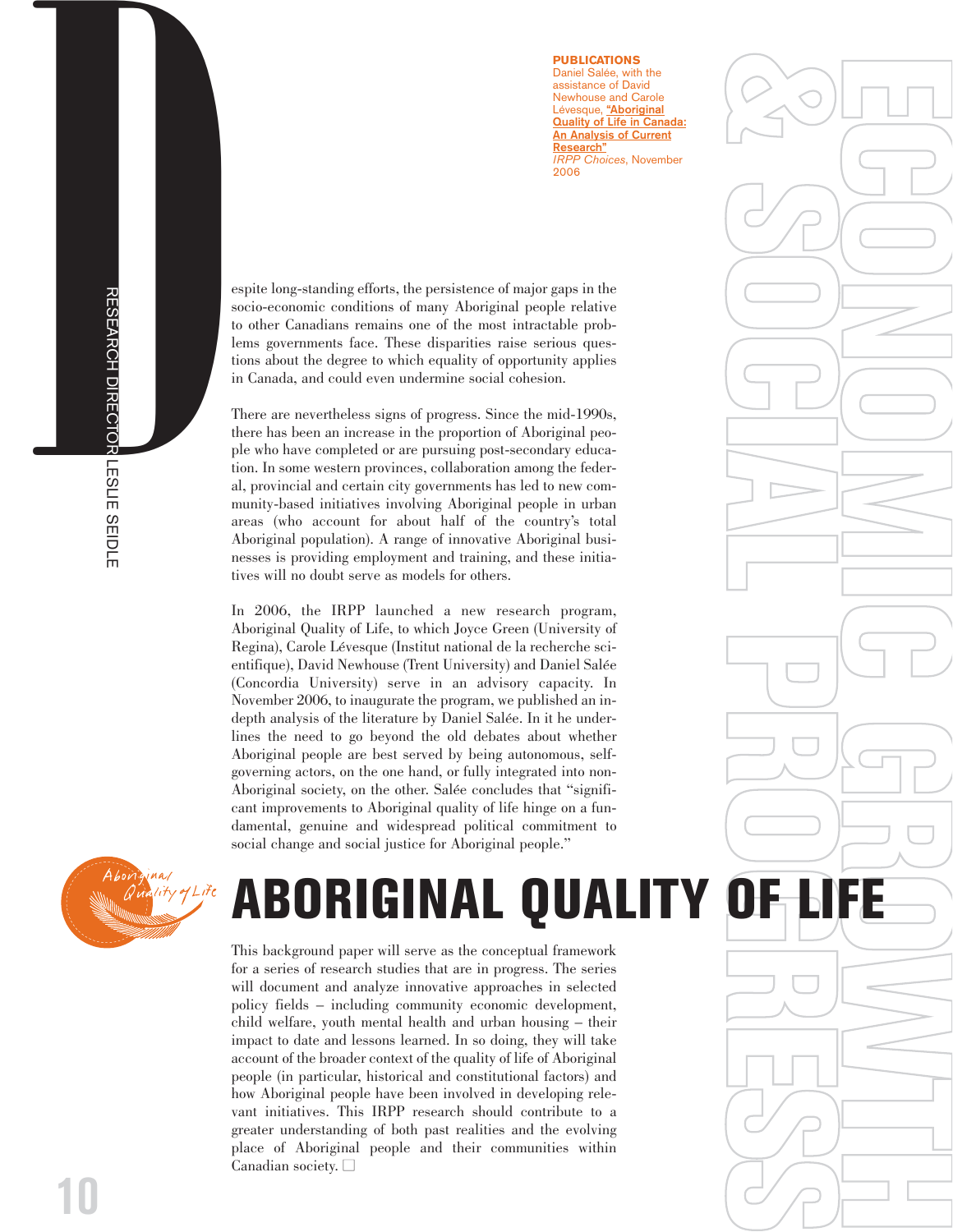### **PUBLICATIONS**

Daniel Salée, with the assistance of David Newhouse and Carole Lévesque, **["Aboriginal](http://www.irpp.org/choices/archive/vol12no6.pdf) [Quality of Life in Canada:](http://www.irpp.org/choices/archive/vol12no6.pdf) An Analysis of Current Research"** *IRPP Choices*, November 2006

**FE** 

**C**

**& S**

**O**

**C**

**I**

**A**

**L P**

**R**

**O**

**R**<br>B<br>C<br>B<br>C<br>B<br>C<br>B<br>C<br>B<br>C<br>E<br>E<br><br><br><br><br><br><br><br><br><br><br><br><br><br><br><br><br><br><br><br><br>

**FE** 

**S**

 $\bigcirc$ 

**O**

**N**

**O**

**M**

**I**

**C G**

**R**

**THING** 

**H**

socio-economic conditions of many Aboriginal people relative to other Canadians remains one of the most intractable problems governments face. These disparities raise serious questions about the degree to which equality of opportunity applies in Canada, and could even undermine social cohesion.

**DESPIE CONSTRANT CONSTRANT CONSTRANT CONSTRANT CONSTRANT CONSTRANT CONSTRANT CONSTRANT CONSTRANT CONSTRANT CONSTRANT CONSTRANT CONSTRANT CONSTRANT CONSTRANT (FOR SEARCH TO LATER CONSTRANT) (THE PERSIST CONSTRANT) (THE PER** There are nevertheless signs of progress. Since the mid-1990s, there has been an increase in the proportion of Aboriginal people who have completed or are pursuing post-secondary education. In some western provinces, collaboration among the federal, provincial and certain city governments has led to new community-based initiatives involving Aboriginal people in urban areas (who account for about half of the country's total Aboriginal population). A range of innovative Aboriginal businesses is providing employment and training, and these initiatives will no doubt serve as models for others.

> In 2006, the IRPP launched a new research program, Aboriginal Quality of Life, to which Joyce Green (University of Regina), Carole Lévesque (Institut national de la recherche scientifique), David Newhouse (Trent University) and Daniel Salée (Concordia University) serve in an advisory capacity. In November 2006, to inaugurate the program, we published an indepth analysis of the literature by Daniel Salée. In it he underlines the need to go beyond the old debates about whether Aboriginal people are best served by being autonomous, selfgoverning actors, on the one hand, or fully integrated into non-Aboriginal society, on the other. Salée concludes that "significant improvements to Aboriginal quality of life hinge on a fundamental, genuine and widespread political commitment to social change and social justice for Aboriginal people."



# **ABORIGINAL QUALITY OF LIFE**

This background paper will serve as the conceptual framework for a series of research studies that are in progress. The series will document and analyze innovative approaches in selected policy fields – including community economic development, child welfare, youth mental health and urban housing – their impact to date and lessons learned. In so doing, they will take account of the broader context of the quality of life of Aboriginal people (in particular, historical and constitutional factors) and how Aboriginal people have been involved in developing relevant initiatives. This IRPP research should contribute to a greater understanding of both past realities and the evolving place of Aboriginal people and their communities within Canadian society.  $\square$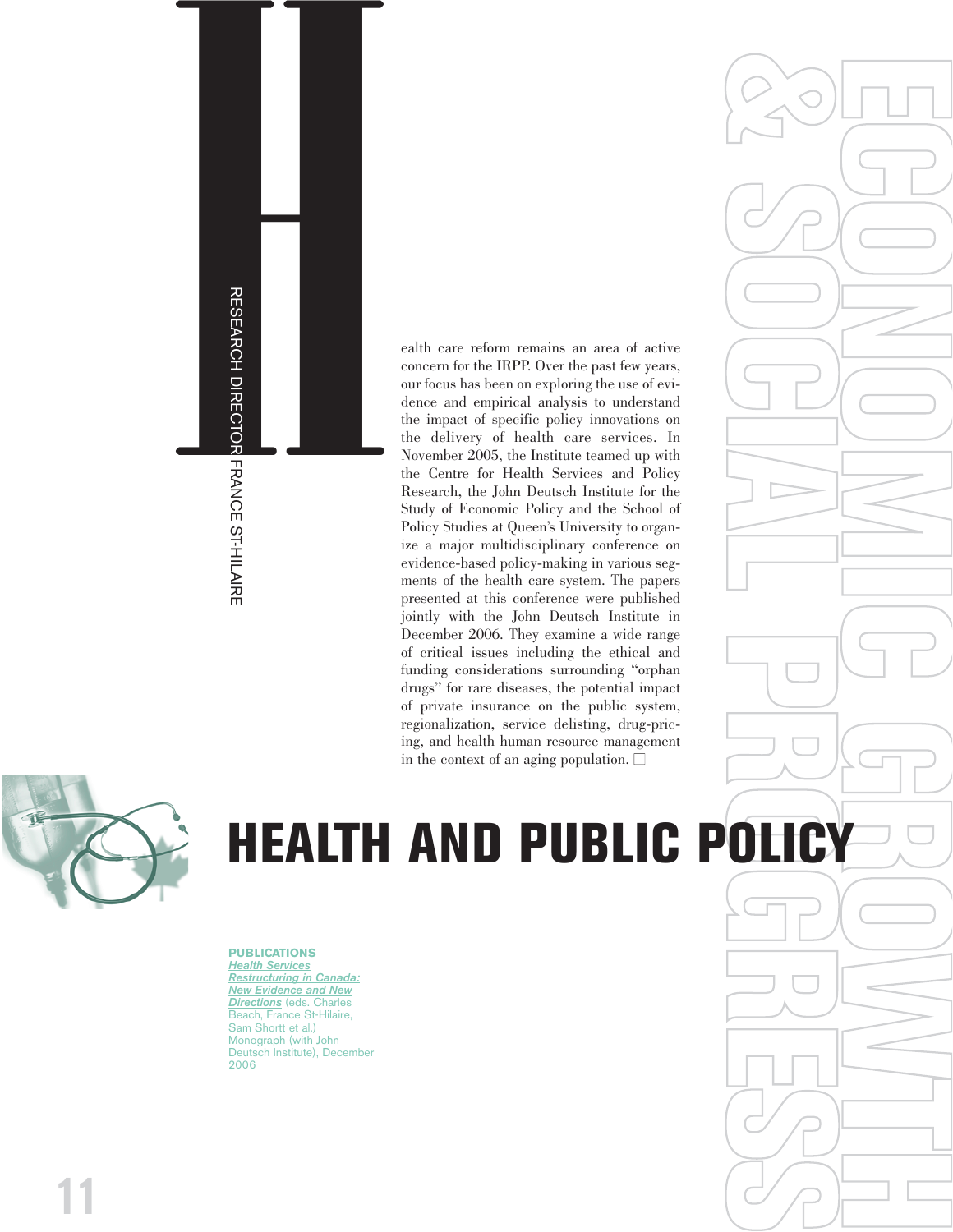

concern for the IRPP. Over the past few years, our focus has been on exploring the use of evidence and empirical analysis to understand the impact of specific policy innovations on the delivery of health care services. In November 2005, the Institute teamed up with the Centre for Health Services and Policy Research, the John Deutsch Institute for the Study of Economic Policy and the School of Policy Studies at Queen's University to organize a major multidisciplinary conference on evidence-based policy-making in various segments of the health care system. The papers presented at this conference were published jointly with the John Deutsch Institute in December 2006. They examine a wide range of critical issues including the ethical and funding considerations surrounding "orphan drugs" for rare diseases, the potential impact of private insurance on the public system, regionalization, service delisting, drug-pricing, and health human resource management in the context of an aging population.  $\square$ FRANCE CONTROL CONTROL CONTROL CONTROL CONTROL CONTROL CONTROL CONTROL CONTROL CONTROL CONTROL CONTROL CONTROL CONTROL CONTROL CONTROL CONTROL CONTROL CONTROL CONTROL CONTROL CONTROL CONTROL CONTROL CONTROL CONTROL CONTROL

**ECONOMIC GROWTH**

**& SOCIAL PROGRESS**



**PUBLICATIONS** *Health Services [Restructuring in Canada:](http://www.irpp.org/books/archive/16863124.htm) New Evidence and New Directions* (eds. Charles Beach, France St-Hilaire, Sam Shortt et al.) Monograph (with John Deutsch Institute), December 2006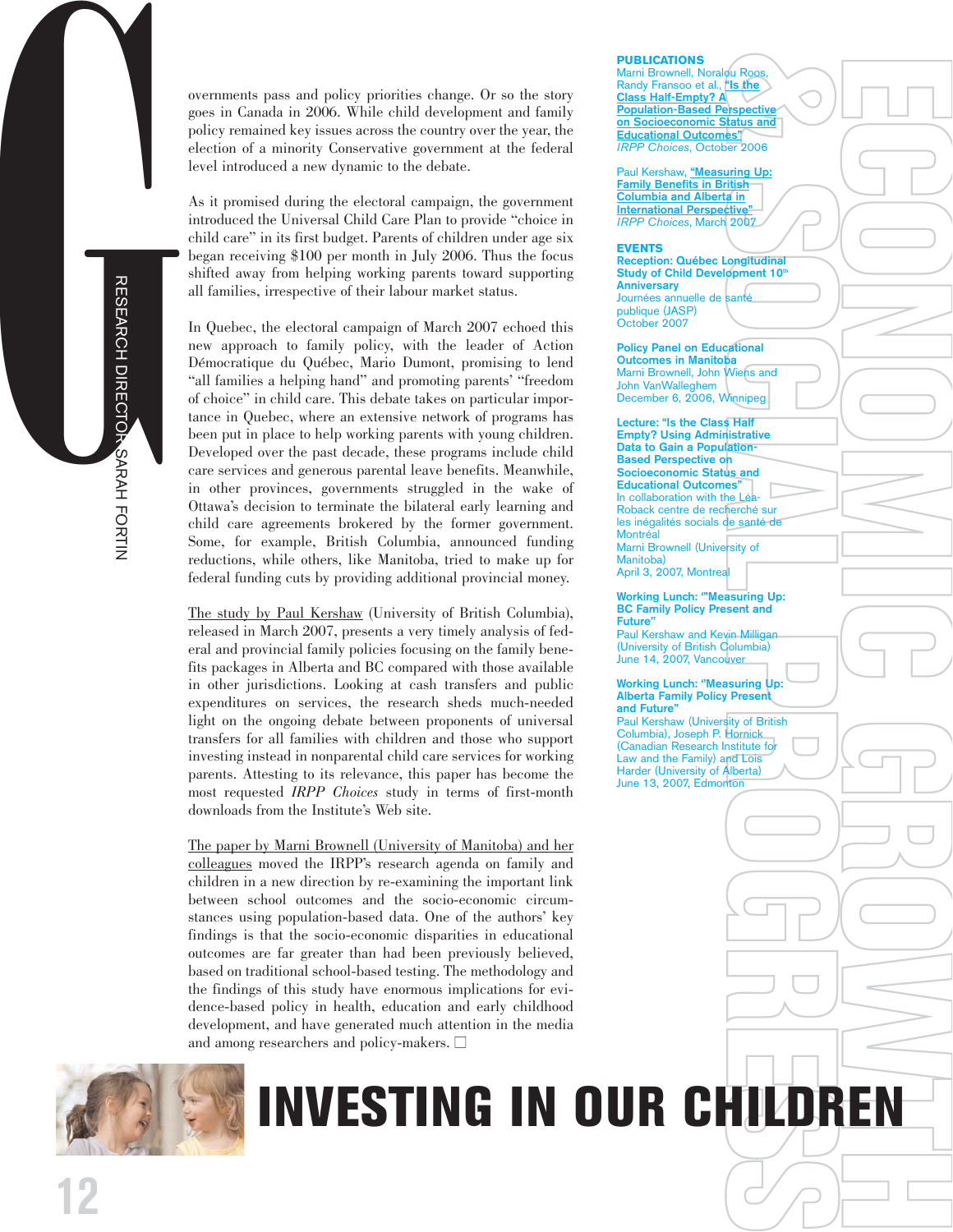

overnments pass and policy priorities change. Or so the story goes in Canada in 2006. While child development and family policy remained key issues across the country over the year, the election of a minority Conservative government at the federal level introduced a new dynamic to the debate.

As it promised during the electoral campaign, the government introduced the Universal Child Care Plan to provide "choice in child care" in its first budget. Parents of children under age six began receiving \$100 per month in July 2006. Thus the focus shifted away from helping working parents toward supporting all families, irrespective of their labour market status.

In Quebec, the electoral campaign of March 2007 echoed this new approach to family policy, with the leader of Action Démocratique du Québec, Mario Dumont, promising to lend "all families a helping hand" and promoting parents' "freedom of choice" in child care. This debate takes on particular importance in Quebec, where an extensive network of programs has been put in place to help working parents with young children. Developed over the past decade, these programs include child care services and generous parental leave benefits. Meanwhile, in other provinces, governments struggled in the wake of Ottawa's decision to terminate the bilateral early learning and child care agreements brokered by the former government. Some, for example, British Columbia, announced funding reductions, while others, like Manitoba, tried to make up for federal funding cuts by providing additional provincial money.

[The study by Paul Kershaw](http://www.irpp.org/choices/archive/vol13no2.pdf) (University of British Columbia), released in March 2007, presents a very timely analysis of federal and provincial family policies focusing on the family benefits packages in Alberta and BC compared with those available in other jurisdictions. Looking at cash transfers and public expenditures on services, the research sheds much-needed light on the ongoing debate between proponents of universal transfers for all families with children and those who support investing instead in nonparental child care services for working parents. Attesting to its relevance, this paper has become the most requested *IRPP Choices* study in terms of first-month downloads from the Institute's Web site.

[The paper by Marni Brownell \(University of Manitoba\) and her](http://www.irpp.org/choices/archive/vol12no5.pdf) [colleagues](http://www.irpp.org/choices/archive/vol12no5.pdf) moved the IRPP's research agenda on family and children in a new direction by re-examining the important link between school outcomes and the socio-economic circumstances using population-based data. One of the authors' key findings is that the socio-economic disparities in educational outcomes are far greater than had been previously believed, based on traditional school-based testing. The methodology and the findings of this study have enormous implications for evidence-based policy in health, education and early childhood development, and have generated much attention in the media and among researchers and policy-makers.  $\Box$ 



# ENT **FE S INVESTING IN OUR CHILDREN**

**PUBLICATIONS**

**Example 18**<br> **Example 2006**<br> **Example 2006**<br> **Example 2006**<br> **Example 2007**<br> **Example 2007**<br> **Example 2007** Marni Brownell, Noralou Roos, Randy Fransoo et al., **"Is the Class Half-Empty? A Population-Based Perspective on Socioeconomic Status and Educational Outcomes"** *IRPP Choices*, October 2006

**FE** 

**C**

**O**

**N**

**O**

**M**

**I**

**C G**

**R**<br>B<br>C<br>B<br>C<br>B<br>C<br>B<br>C<br>S<br>S<br>S<br><br><br><br><br><br><br><br><br><br><br><br><br><br><br><br><br><br><br>

**O**

**H**

Paul Kershaw, **["Measuring Up:](http://www.irpp.org/choices/archive/vol13no2.pdf) Family Benefits in British Columbia and Alberta in International Perspective** *IRPP Choices*, March 2007

### **EVENTS**

**Ongitudinal**<br> **Opment 10<sup>th</sup>**<br>
Santé **Reception: Québec Longitudinal Study of Child Development 10th Anniversary**  Journées annuelle de santé publique (JASP) October 2007

**Cational**<br>**Property**<br>**Property**<br>**Property Policy Panel on Educational Outcomes in Manitoba** Marni Brownell, John Wiens and John VanWalleghem December 6, 2006, Winnipeg

**I Empty? Using Administrative A Lecture: "Is the Class Half Data to Gain a Population-Based Perspective on Socioeconomic Status and Educational Outcomes"** In collaboration with the Léa-Roback centre de recherché sur les inégalités socials de santé de Montréal Marni Brownell (University of Manitoba)

**April 3, 2007, Montrea** 

rsity of<br> **Leading Up:**<br> **Leading Up:**<br> **Leading Up:**<br> **Leading Up:**<br> **Leading Up:**<br> **Present Working Lunch: '"Measuring Up: BC Family Policy Present and Future''** Paul Kershaw and Kevin Milligan

(University of British Columbia) June 14, 2007, Vancouver

ity of British<br>Hornick<br>**Racitute for Collection**<br>Molerta) **Working Lunch: ''Measuring Up: Alberta Family Policy Present and Future''** Paul Kershaw (University of British Columbia), Joseph P. Hornick (Canadian Research Institute fo Law and the Family) and Lois Harder (University of Alberta) June 13, 2007, Edmonton

**O**

**G**

**R**<br>B<br>C<br>B<br>C<br>B<br>C<br>B<br>C<br>B<br>C<br>E<br>E<br><br><br><br><br><br><br><br><br><br><br><br><br><br><br><br><br><br><br><br><br>

 $\bigcirc$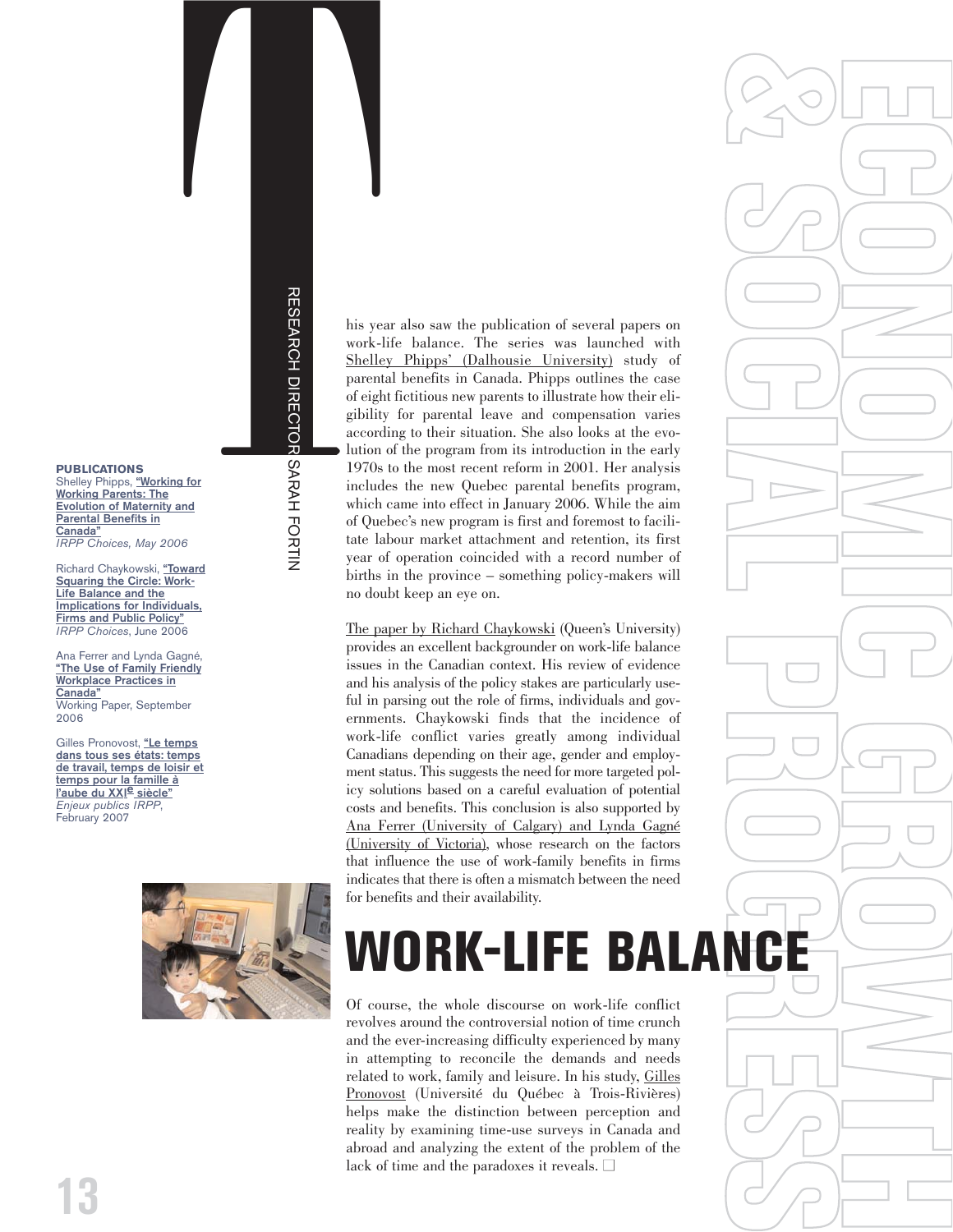RESEARCH DIRECTOR SARAH FORTIN

### **PUBLICATIONS**

Shelley Phipps, **["Working for](http://www.irpp.org/choices/archive/vol12no2.pdf) Working Parents: The [Evolution of Maternity and](http://www.irpp.org/choices/archive/vol12no2.pdf) Parental Benefits in Canada"** *IRPP Choices, May 2006*

Richard Chaykowski, **["Toward](http://www.irpp.org/choices/archive/vol12no3.pdf) Squaring the Circle: Work-Life Balance and the [Implications for Individuals,](http://www.irpp.org/choices/archive/vol12no3.pdf) Firms and Public Policy"** *IRPP Choices*, June 2006

Ana Ferrer and Lynda Gagné, **["The Use of Family Friendly](http://www.irpp.org/wp/archive/wp2006-02.pdf) Workplace Practices in Canada"** Working Paper, September 2006

Gilles Pronovost, **["Le temps](http://www.irpp.org/fr/pm/archive/pmvol8no1.pdf) dans tous ses états: temps [de travail, temps de loisir et](http://www.irpp.org/fr/pm/archive/pmvol8no1.pdf) temps pour la famille à l'aube du XXI e siècle"** *Enjeux publics IRPP*, February 2007



The system also saw the publication of several papers on<br>  $\frac{1}{2}$  his year also saw the publication of several papers on<br>  $\frac{1}{2}$  work-life balance. The series was launched with<br>  $\frac{1}{2}$  shelley Phipps' (Dalhousie U work-life balance. The series was launched with Shelley Phipps' (Dalhousie University) study of parental benefits in Canada. Phipps outlines the case of eight fictitious new parents to illustrate how their eligibility for parental leave and compensation varies according to their situation. She also looks at the evolution of the program from its introduction in the early 1970s to the most recent reform in 2001. Her analysis includes the new Quebec parental benefits program, which came into effect in January 2006. While the aim of Quebec's new program is first and foremost to facilitate labour market attachment and retention, its first year of operation coincided with a record number of births in the province – something policy-makers will no doubt keep an eye on.

**FE** 

**C**

**& S**

**O**

**C**

**I**

**A**

**L P**

**R**

**O**

**FE** 

**S**

 $\bigcirc$ 

**O**

**N**

**O**

**M**

**I**

**C G**

**R**

**O**

**THE STATE** 

**H**

The paper by Richard Chaykowski (Queen's University) provides an excellent backgrounder on work-life balance issues in the Canadian context. His review of evidence and his analysis of the policy stakes are particularly useful in parsing out the role of firms, individuals and governments. Chaykowski finds that the incidence of work-life conflict varies greatly among individual Canadians depending on their age, gender and employment status. This suggests the need for more targeted policy solutions based on a careful evaluation of potential costs and benefits. This conclusion is also supported by Ana Ferrer (University of Calgary) and Lynda Gagné (University of Victoria), whose research on the factors that influence the use of work-family benefits in firms indicates that there is often a mismatch between the need for benefits and their availability.

## **G RGE** WORK-LIFE BALAN

Of course, the whole discourse on work-life conflict revolves around the controversial notion of time crunch and the ever-increasing difficulty experienced by many in attempting to reconcile the demands and needs related to work, family and leisure. In his study, Gilles Pronovost (Université du Québec à Trois-Rivières) helps make the distinction between perception and reality by examining time-use surveys in Canada and abroad and analyzing the extent of the problem of the lack of time and the paradoxes it reveals.  $\Box$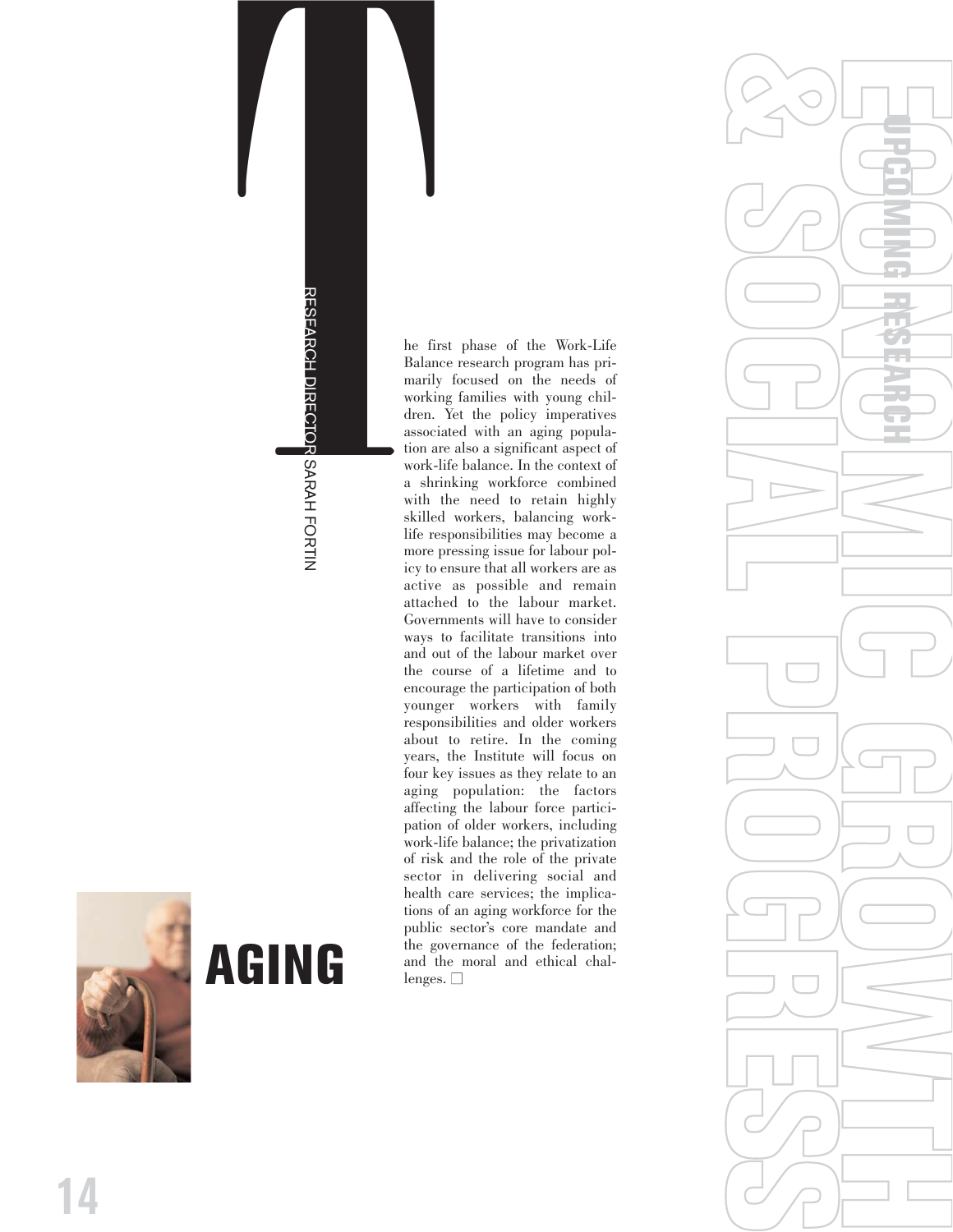**AGING SARAH FORTIN**<br>RESEARCH DIRECTOR SARAH FORTIN

**AGING** 

The first phase of the Work-Life Balance research program has primarily focused on the needs of working families with young children. Yet the policy imperatives associated with an aging population are also a significant aspect of work-life balance. In the context of a shrinking workforce combined with the need to retain highly skilled workers, balancing worklife responsibilities may become a more pressing issue for labour policy to ensure that all workers are as active as possible and remain attached to the labour market. Governments will have to consider ways to facilitate transitions into and out of the labour market over the course of a lifetime and to encourage the participation of both younger workers with family responsibilities and older workers about to retire. In the coming years, the Institute will focus on four key issues as they relate to an aging population: the factors affecting the labour force participation of older workers, including work-life balance; the privatization of risk and the role of the private sector in delivering social and health care services; the implications of an aging workforce for the public sector's core mandate and the governance of the federation; and the moral and ethical challenges.  $\Box$ 



**14**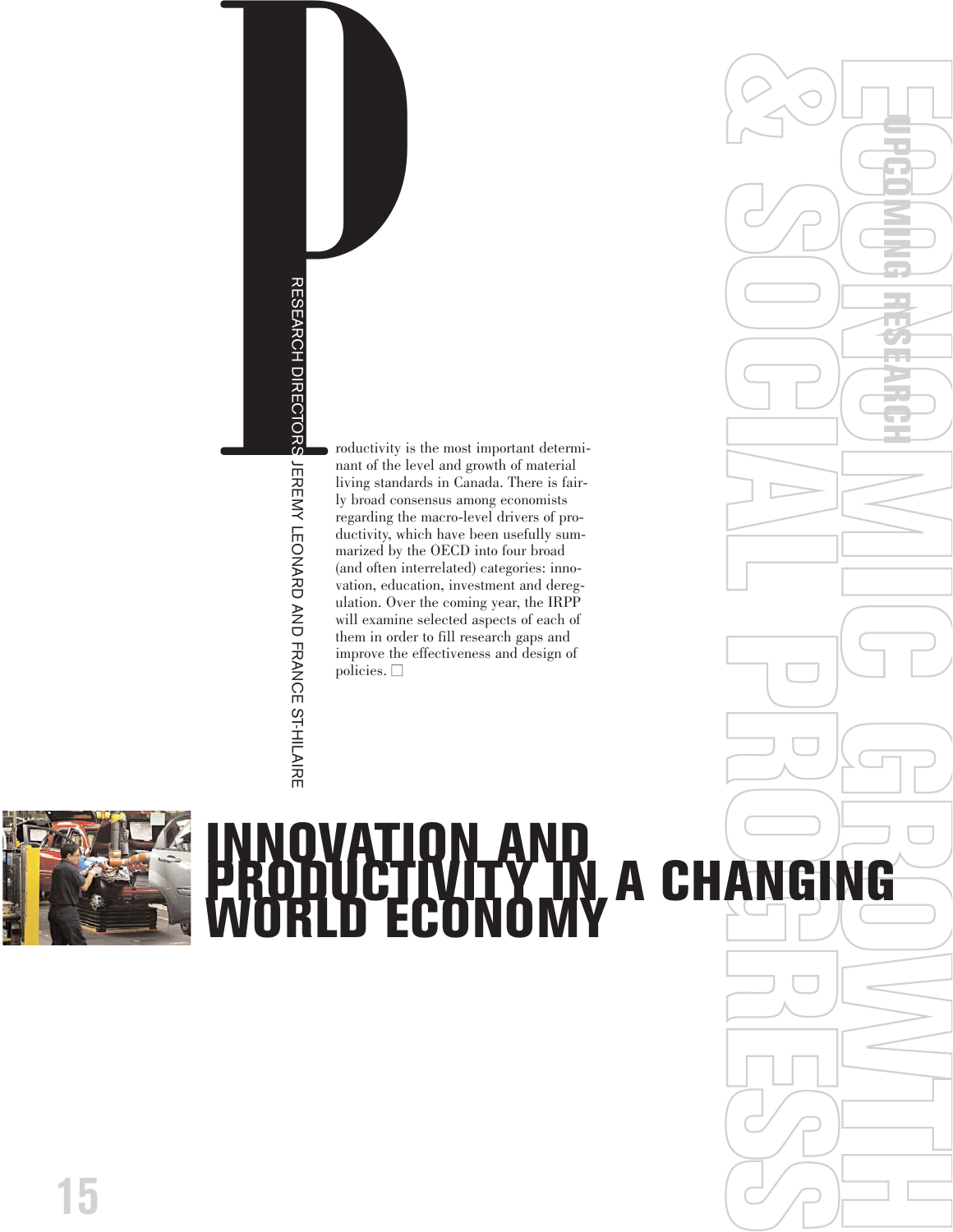

nant of the level and growth of material living standards in Canada. There is fairly broad consensus among economists regarding the macro-level drivers of productivity, which have been usefully summarized by the OECD into four broad (and often interrelated) categories: innovation, education, investment and deregulation. Over the coming year, the IRPP will examine selected aspects of each of them in order to fill research gaps and improve the effectiveness and design of  $policies.$   $\Box$ 



# **ECONOMIC GROWTH & SOCIAL PROGRESS INNOVATION AND**<br> **INNOVATION AND CONOMY CHANGING**<br> **INNOVATION AND CONOMY CHANGING**<br> **INNOVATION AND FRANCE STATES AND CONOMY**<br> **EQUATION AND FRANCE STATES AND FRANCE STATES AND FRANCE STATES AND PROPERTY AND FRAN**

**UPCOMING RESEARCH**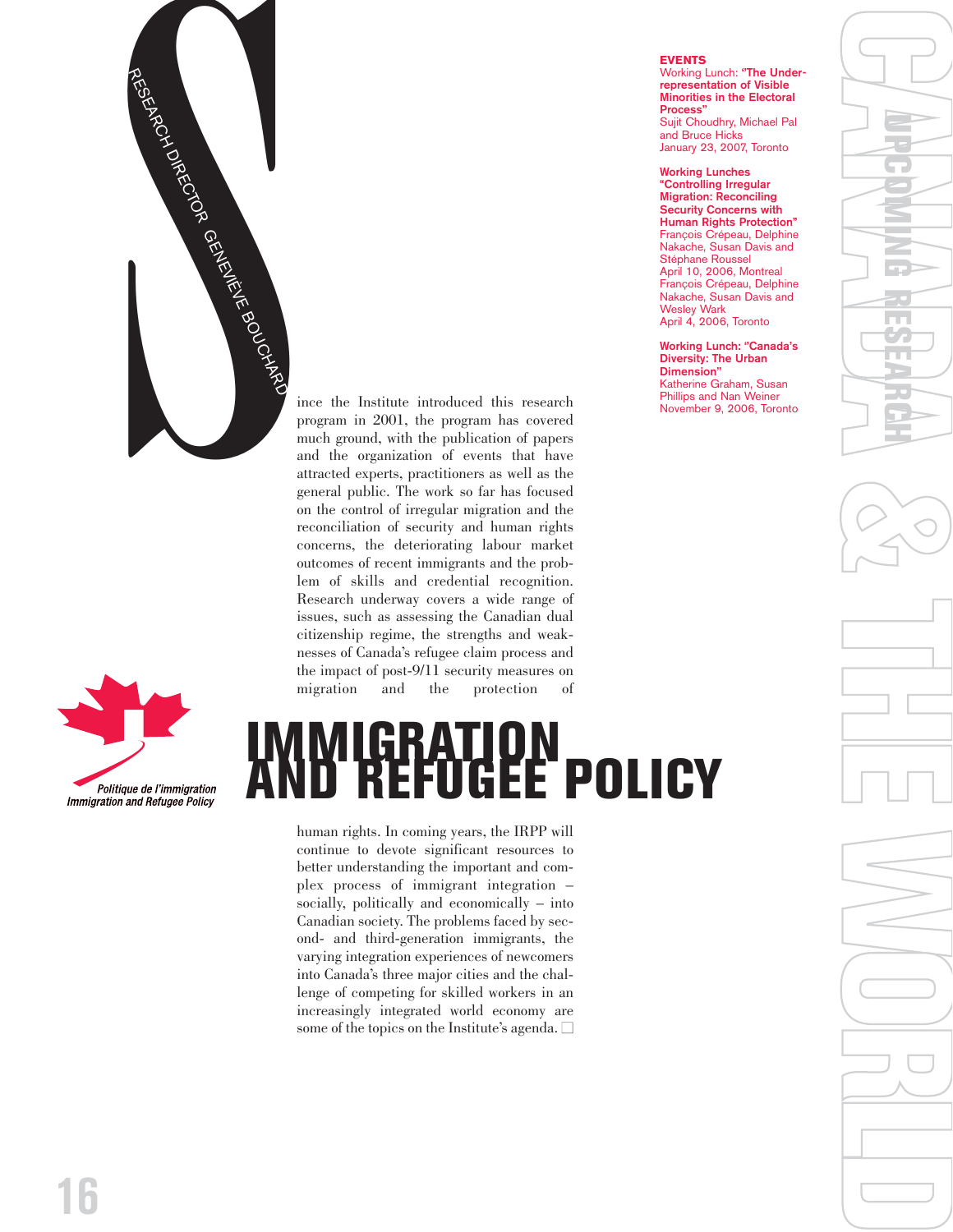



# the impact of post-9/11 security measures on migration and the protection of

human rights. In coming years, the IRPP will continue to devote significant resources to better understanding the important and complex process of immigrant integration – socially, politically and economically – into Canadian society. The problems faced by second- and third-generation immigrants, the varying integration experiences of newcomers into Canada's three major cities and the challenge of competing for skilled workers in an increasingly integrated world economy are some of the topics on the Institute's agenda.

on the control of irregular migration and the reconciliation of security and human rights concerns, the deteriorating labour market outcomes of recent immigrants and the problem of skills and credential recognition. Research underway covers a wide range of issues, such as assessing the Canadian dual citizenship regime, the strengths and weaknesses of Canada's refugee claim process and

### **EVENTS**

Working Lunch: **''The Underrepresentation of Visible Minorities in the Electoral Process''** Sujit Choudhry, Michael Pal and Bruce Hicks January 23, 2007, Toronto

**Working Lunches "Controlling Irregular Migration: Reconciling Security Concerns with Human Rights Protection"** François Crépeau, Delphine Nakache, Susan Davis and Stéphane Roussel April 10, 2006, Montreal François Crépeau, Delphine Nakache, Susan Davis and Wesley Wark April 4, 2006, Toronto

**Working Lunch: ''Canada's Diversity: The Urban Dimension''** Katherine Graham, Susan Phillips and Nan Weiner November 9, 2006, Toronto

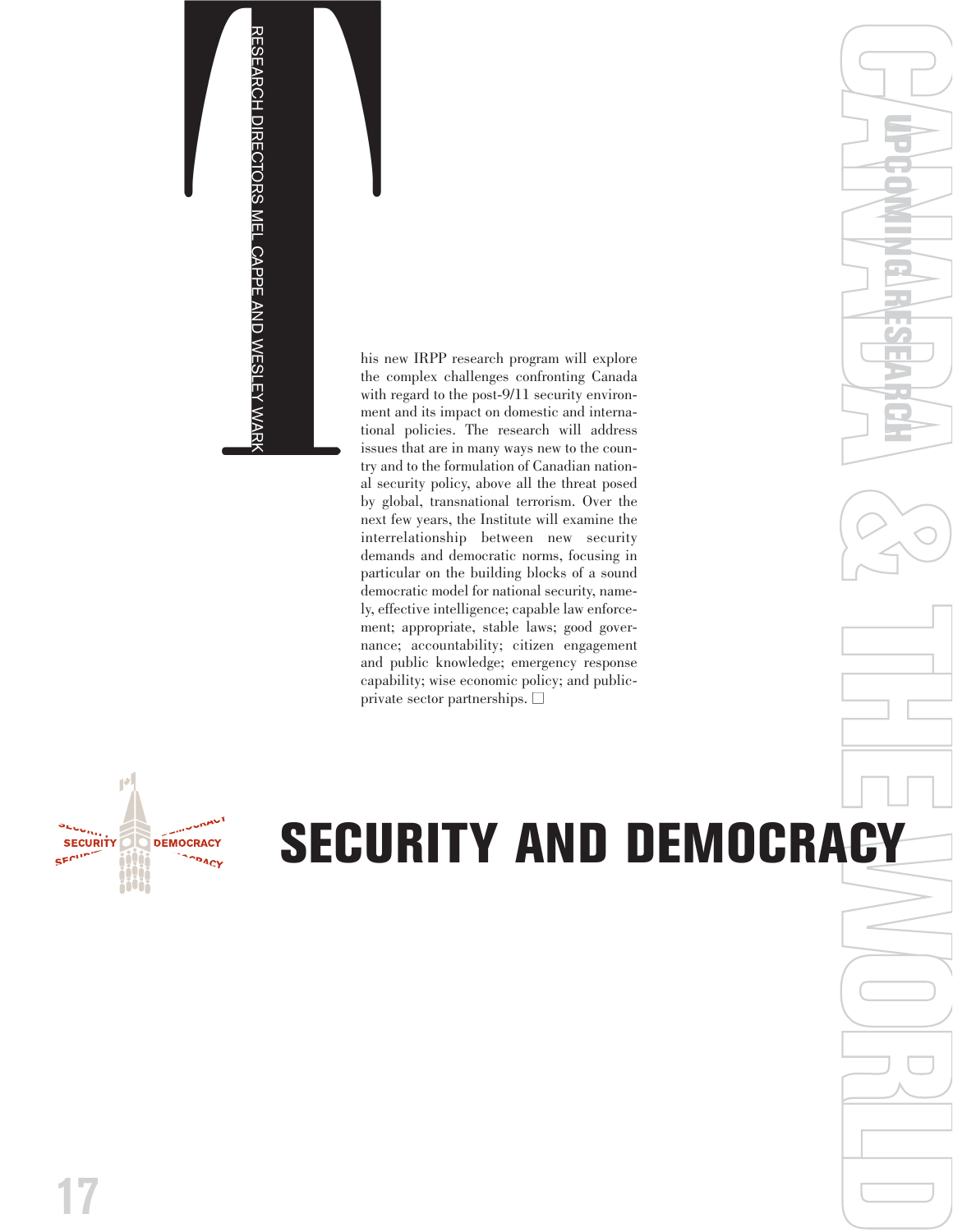

the complex challenges confronting Canada with regard to the post-9/11 security environment and its impact on domestic and international policies. The research will address issues that are in many ways new to the country and to the formulation of Canadian national security policy, above all the threat posed by global, transnational terrorism. Over the next few years, the Institute will examine the interrelationship between new security demands and democratic norms, focusing in particular on the building blocks of a sound democratic model for national security, namely, effective intelligence; capable law enforcement; appropriate, stable laws; good governance; accountability; citizen engagement and public knowledge; emergency response capability; wise economic policy; and publicprivate sector partnerships.  $\Box$ 



# CANADA **& THE PARTICIPAL CONDAMNATION SECURITY AND DEMOCRACY**

**UPCOMING RESEARCH**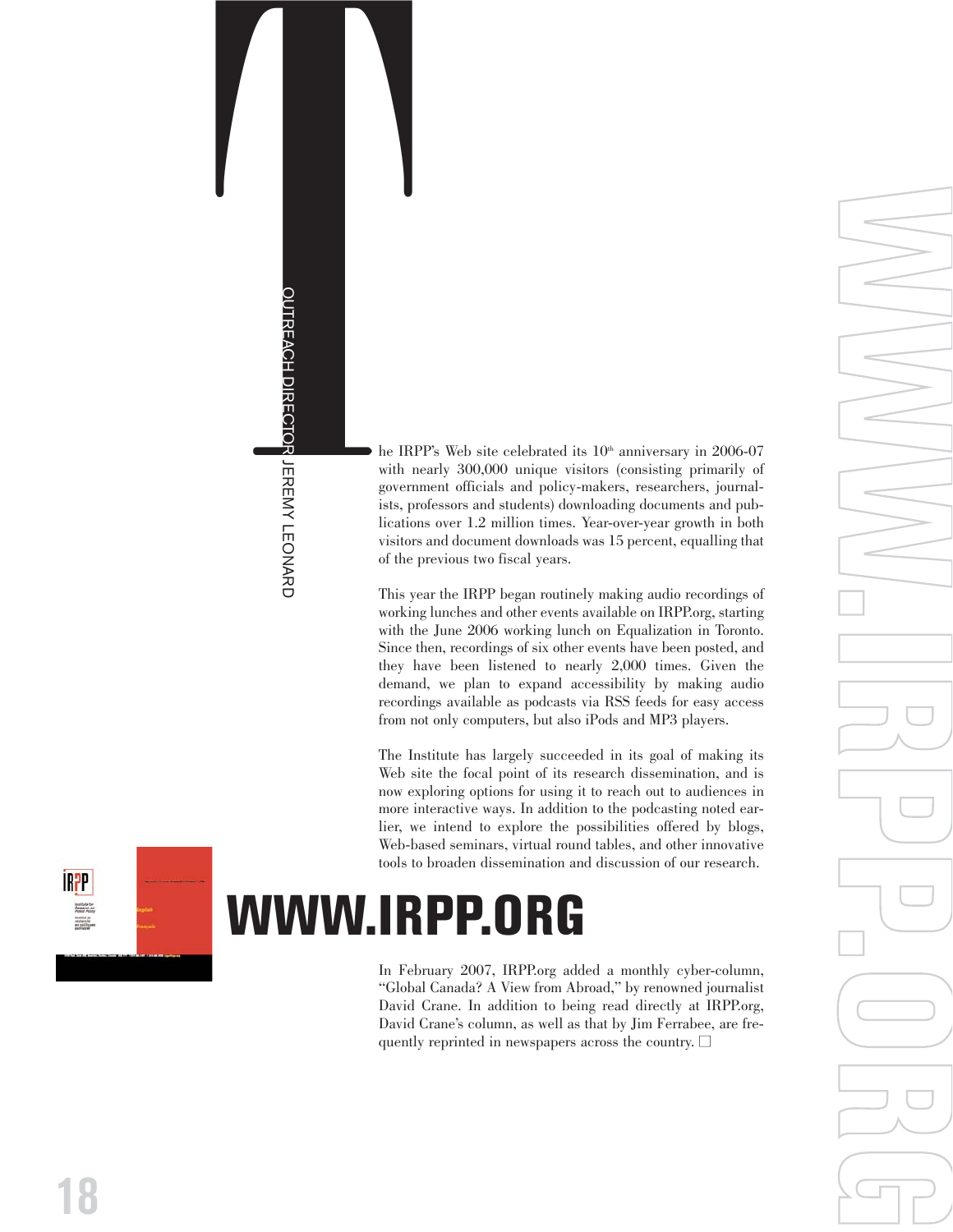THE IRPP's Web site celebrated its 10<sup>t</sup> anniversary in 2006-07<br>
with nearly 300,000 unique visitors (consisting primarily of<br>
government officials and policy-makers, reserchers, journal<br>
is the preference of 12 million ti with nearly 300,000 unique visitors (consisting primarily of government officials and policy-makers, researchers, journalists, professors and students) downloading documents and publications over 1.2 million times. Year-over-year growth in both visitors and document downloads was 15 percent, equalling that of the previous two fiscal years.

This year the IRPP began routinely making audio recordings of working lunches and other events available on IRPP.org, starting with the June 2006 working lunch on Equalization in Toronto. Since then, recordings of six other events have been posted, and they have been listened to nearly 2,000 times. Given the demand, we plan to expand accessibility by making audio recordings available as podcasts via RSS feeds for easy access from not only computers, but also iPods and MP3 players. **Example 1** be IRPP's Web site celebrated is with nearly 300,000 unique visiting syntemment officials and policy-ists, professors and students) downlications over 1.2 million times.<br>
The Contractions of the previous two fi

**WWW.IRPP.ORG**

The Institute has largely succeeded in its goal of making its Web site the focal point of its research dissemination, and is now exploring options for using it to reach out to audiences in more interactive ways. In addition to the podcasting noted earlier, we intend to explore the possibilities offered by blogs, Web-based seminars, virtual round tables, and other innovative tools to broaden dissemination and discussion of our research.



In February 2007, IRPP.org added a monthly cyber-column, "Global Canada? A View from Abroad," by renowned journalist David Crane. In addition to being read directly at IRPP.org, David Crane's column, as well as that by Jim Ferrabee, are frequently reprinted in newspapers across the country.  $\Box$ 

**18**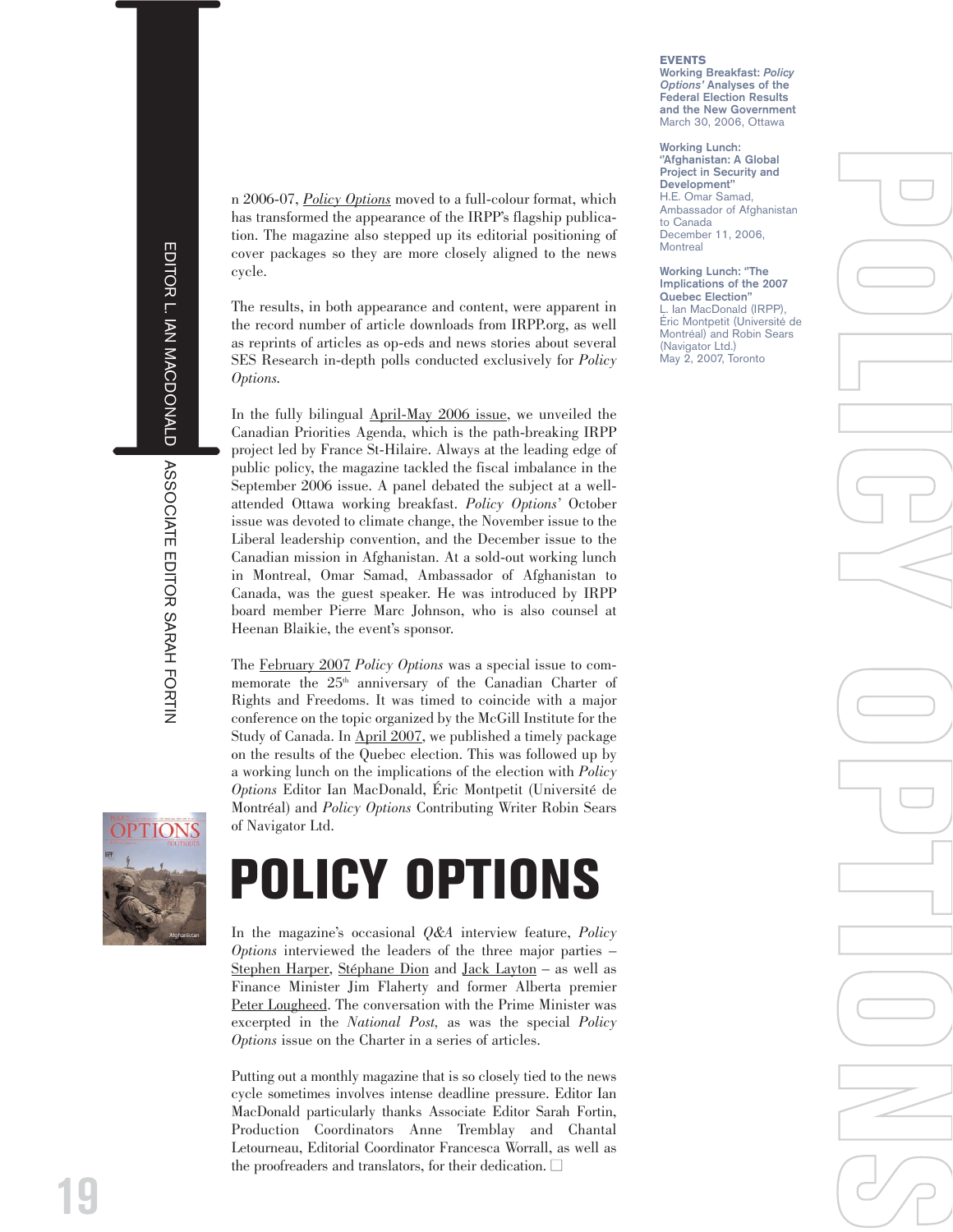[n 2006-07,](http://www.irpp.org/po/index.htm) *Policy Options* moved to a full-colour format, which has transformed the appearance of the IRPP's flagship publication. The magazine also stepped up its editorial positioning of cover packages so they are more closely aligned to the news cycle.

The results, in both appearance and content, were apparent in the record number of article downloads from IRPP.org, as well as reprints of articles as op-eds and news stories about several SES Research in-depth polls conducted exclusively for *Policy Options.*

In the fully bilingual [April-May 2006 issue,](http://www.irpp.org/po/archive/po0406.htm) we unveiled the Canadian Priorities Agenda, which is the path-breaking IRPP project led by France St-Hilaire. Always at the leading edge of public policy, the magazine tackled the fiscal imbalance in the September 2006 issue. A panel debated the subject at a wellattended Ottawa working breakfast. *Policy Options'* October issue was devoted to climate change, the November issue to the Liberal leadership convention, and the December issue to the Canadian mission in Afghanistan. At a sold-out working lunch in Montreal, Omar Samad, Ambassador of Afghanistan to Canada, was the guest speaker. He was introduced by IRPP board member Pierre Marc Johnson, who is also counsel at Heenan Blaikie, the event's sponsor.

The [February 2007](http://www.irpp.org/po/archive/po0207.htm) *Policy Options* was a special issue to commemorate the 25<sup>th</sup> anniversary of the Canadian Charter of Rights and Freedoms. It was timed to coincide with a major conference on the topic organized by the McGill Institute for the Study of Canada. In [April 2007,](http://www.irpp.org/po/archive/po0407.htm) we published a timely package on the results of the Quebec election. This was followed up by a working lunch on the implications of the election with *Policy Options* Editor Ian MacDonald, Éric Montpetit (Université de Montréal) and *Policy Options* Contributing Writer Robin Sears of Navigator Ltd.



# **POLICY OPTIONS**

In the magazine's occasional *Q&A* interview feature, *Policy Options* interviewed the leaders of the three major parties – [Stephen Harper,](http://www.irpp.org/po/archive/feb07/interview.pdf) [Stéphane Dion](http://www.irpp.org/po/archive/jun07/dion.pdf) and [Jack Layton](http://www.irpp.org/po/archive/mar07/layton.pdf) – as well as Finance Minister [Jim Flaherty](http://www.irpp.org/po/archive/apr07/flaherty.pdf) and former Alberta premier [Peter Lougheed.](http://www.irpp.org/po/archive/sep06/lougheed.pdf) The conversation with the Prime Minister was excerpted in the *National Post,* as was the special *Policy Options* issue on the Charter in a series of articles.

Putting out a monthly magazine that is so closely tied to the news cycle sometimes involves intense deadline pressure. Editor Ian MacDonald particularly thanks Associate Editor Sarah Fortin, Production Coordinators Anne Tremblay and Chantal Letourneau, Editorial Coordinator Francesca Worrall, as well as the proofreaders and translators, for their dedication.  $\Box$ 

### **EVENTS Working Breakfast:** *Policy*

*Options'* **Analyses of the Federal Election Results and the New Government** March 30, 2006, Ottawa

**Working Lunch: ''Afghanistan: A Global Project in Security and Development''** H.E. Omar Samad, Ambassador of Afghanistan to Canada December 11, 2006, **Montreal** 

**Working Lunch: ''The Implications of the 2007 Quebec Election''** L. Ian MacDonald (IRPP), Éric Montpetit (Université de Montréal) and Robin Sears (Navigator Ltd.) May 2, 2007, Toronto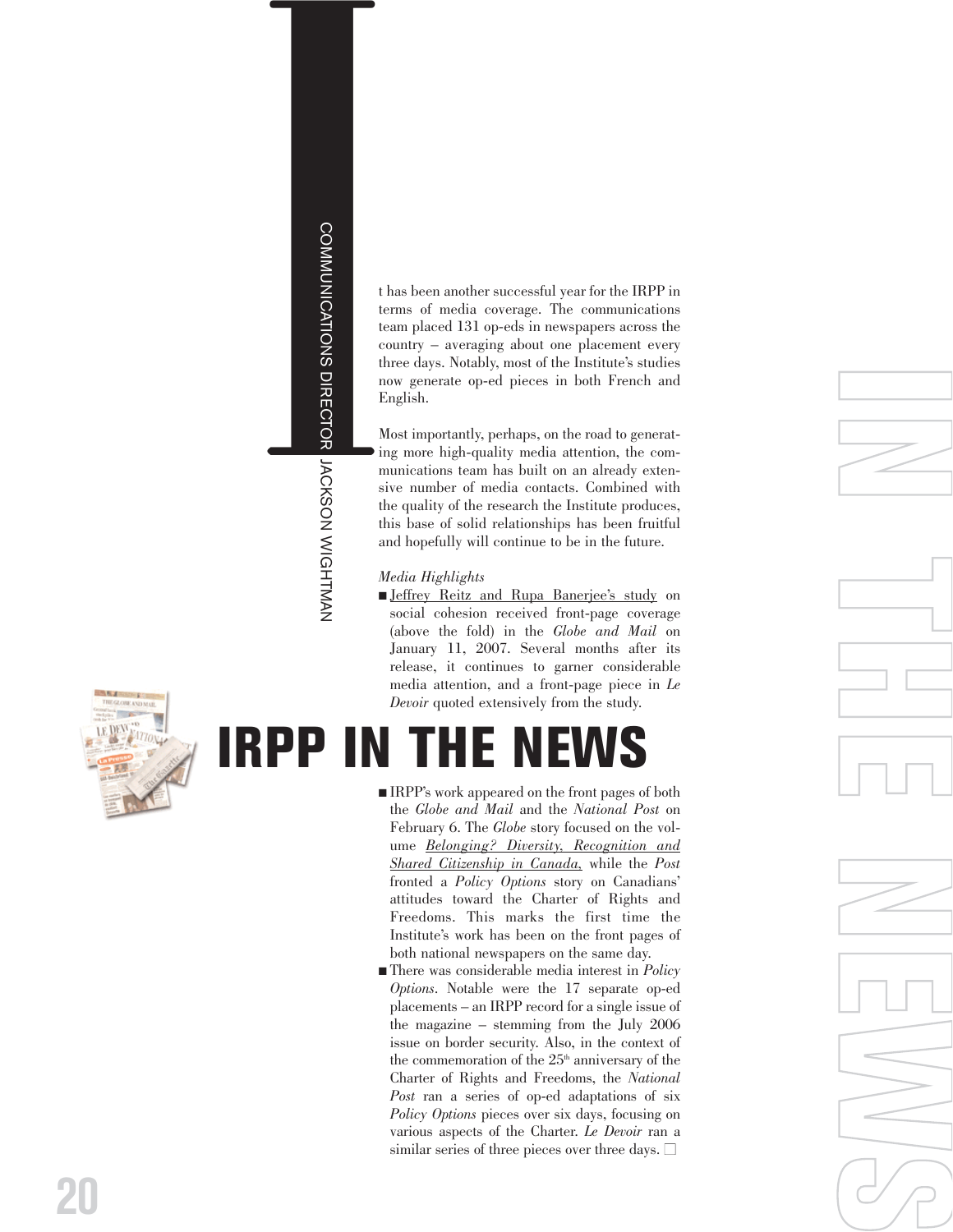# I

t has been another successful year for the IRPP in terms of media coverage. The communications team placed 131 op-eds in newspapers across the country – averaging about one placement every three days. Notably, most of the Institute's studies now generate op-ed pieces in both French and English.

Most importantly, perhaps, on the road to generating more high-quality media attention, the communications team has built on an already extensive number of media contacts. Combined with the quality of the research the Institute produces, this base of solid relationships has been fruitful and hopefully will continue to be in the future. **IRPP 19**<br> **I** thas been another successful year for the IR terms of media coverage. The communications of media coverage and three days. Notably, most of the Institute's step and the move generate op-ed pieces in both Fre

### *Media Highlights*

■ [Jeffrey Reitz and Rupa Banerjee's study](http://www.irpp.org/books/archive/AOTS3/reitz.pdf) on social cohesion received front-page coverage (above the fold) in the *Globe and Mail* on January 11, 2007. Several months after its release, it continues to garner considerable media attention, and a front-page piece in *Le Devoir* quoted extensively from the study.

- IRPP's work appeared on the front pages of both the *Globe and Mail* and the *National Post* on February 6. The *Globe* story focused on the volume *[Belonging? Diversity, Recognition and](http://www.irpp.org/books/archive/16868623.htm) [Shared Citizenship in Canada](http://www.irpp.org/books/archive/16868623.htm),* while the *Post* fronted a *Policy Options* story on Canadians' attitudes toward the Charter of Rights and Freedoms. This marks the first time the Institute's work has been on the front pages of both national newspapers on the same day.
- There was considerable media interest in *Policy Options*. Notable were the 17 separate op-ed placements – an IRPP record for a single issue of the magazine – stemming from the July 2006 issue on border security. Also, in the context of the commemoration of the  $25<sup>th</sup>$  anniversary of the Charter of Rights and Freedoms, the *National Post* ran a series of op-ed adaptations of six *Policy Options* pieces over six days, focusing on various aspects of the Charter. *Le Devoir* ran a similar series of three pieces over three days.  $\Box$





**20**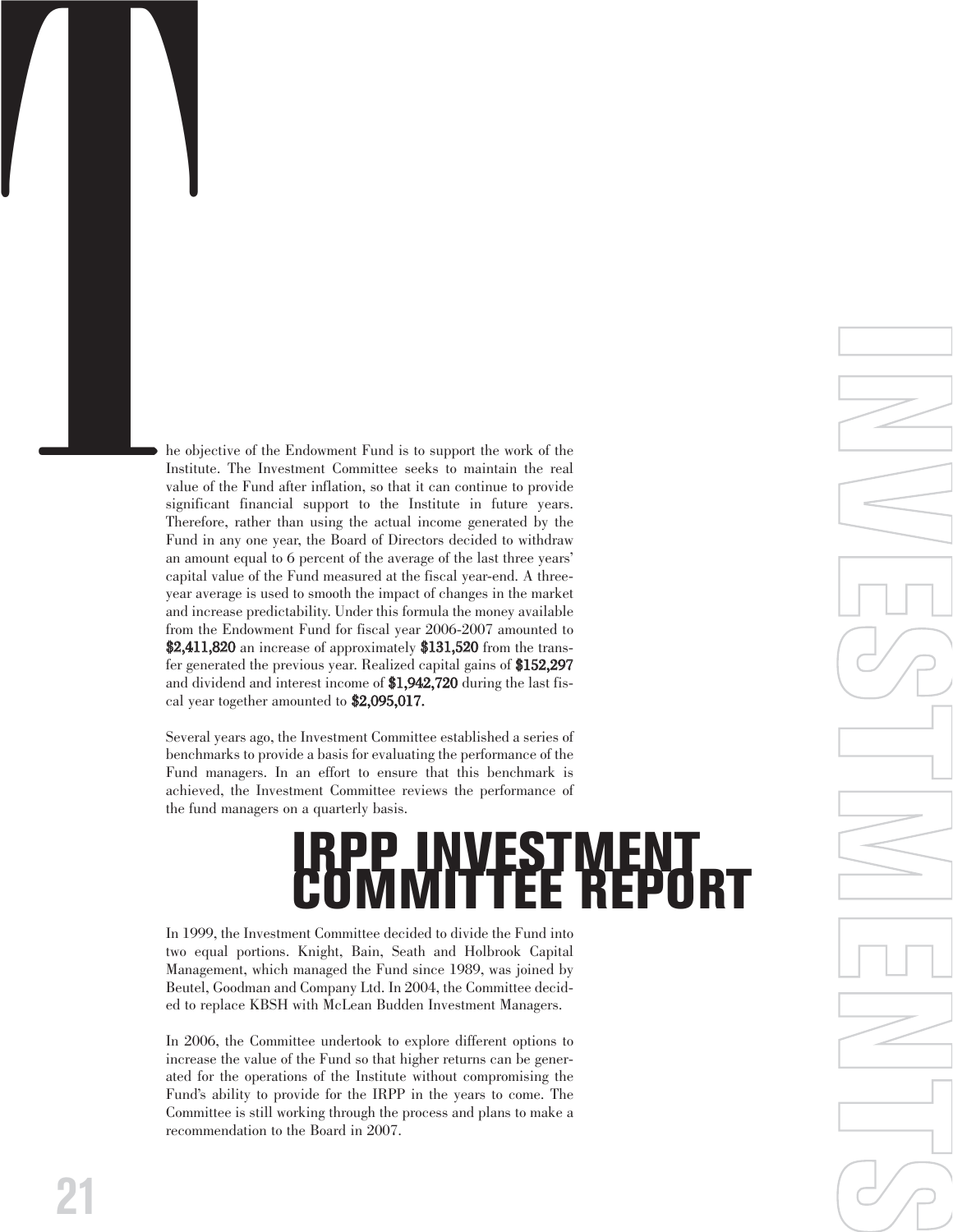The objective of the Endowment Fund is to support the work of the Institute. The Investment Committee seeks to maintain the real value of the Fund after inflation, so that it can continue to provide support the fund the su Institute. The Investment Committee seeks to maintain the real value of the Fund after inflation, so that it can continue to provide significant financial support to the Institute in future years. Therefore, rather than using the actual income generated by the Fund in any one year, the Board of Directors decided to withdraw an amount equal to 6 percent of the average of the last three years' capital value of the Fund measured at the fiscal year-end. A threeyear average is used to smooth the impact of changes in the market and increase predictability. Under this formula the money available from the Endowment Fund for fiscal year 2006-2007 amounted to  $$2,411,820$  an increase of approximately  $$131,520$  from the transfer generated the previous year. Realized capital gains of \$152,297 and dividend and interest income of \$1,942,720 during the last fiscal year together amounted to \$2,095,017.

> Several years ago, the Investment Committee established a series of benchmarks to provide a basis for evaluating the performance of the Fund managers. In an effort to ensure that this benchmark is achieved, the Investment Committee reviews the performance of the fund managers on a quarterly basis.

# **IRPP INVESTMENT COMMITTEE REPORT**

**I**

**N**

**V**

**E** 

 $\mathcal{C}$ 

**T** 

**M**

**E** 

**N**

**T** 

 $\mathcal{C}$ 

In 1999, the Investment Committee decided to divide the Fund into two equal portions. Knight, Bain, Seath and Holbrook Capital Management, which managed the Fund since 1989, was joined by Beutel, Goodman and Company Ltd. In 2004, the Committee decided to replace KBSH with McLean Budden Investment Managers.

In 2006, the Committee undertook to explore different options to increase the value of the Fund so that higher returns can be generated for the operations of the Institute without compromising the Fund's ability to provide for the IRPP in the years to come. The Committee is still working through the process and plans to make a recommendation to the Board in 2007.

**21**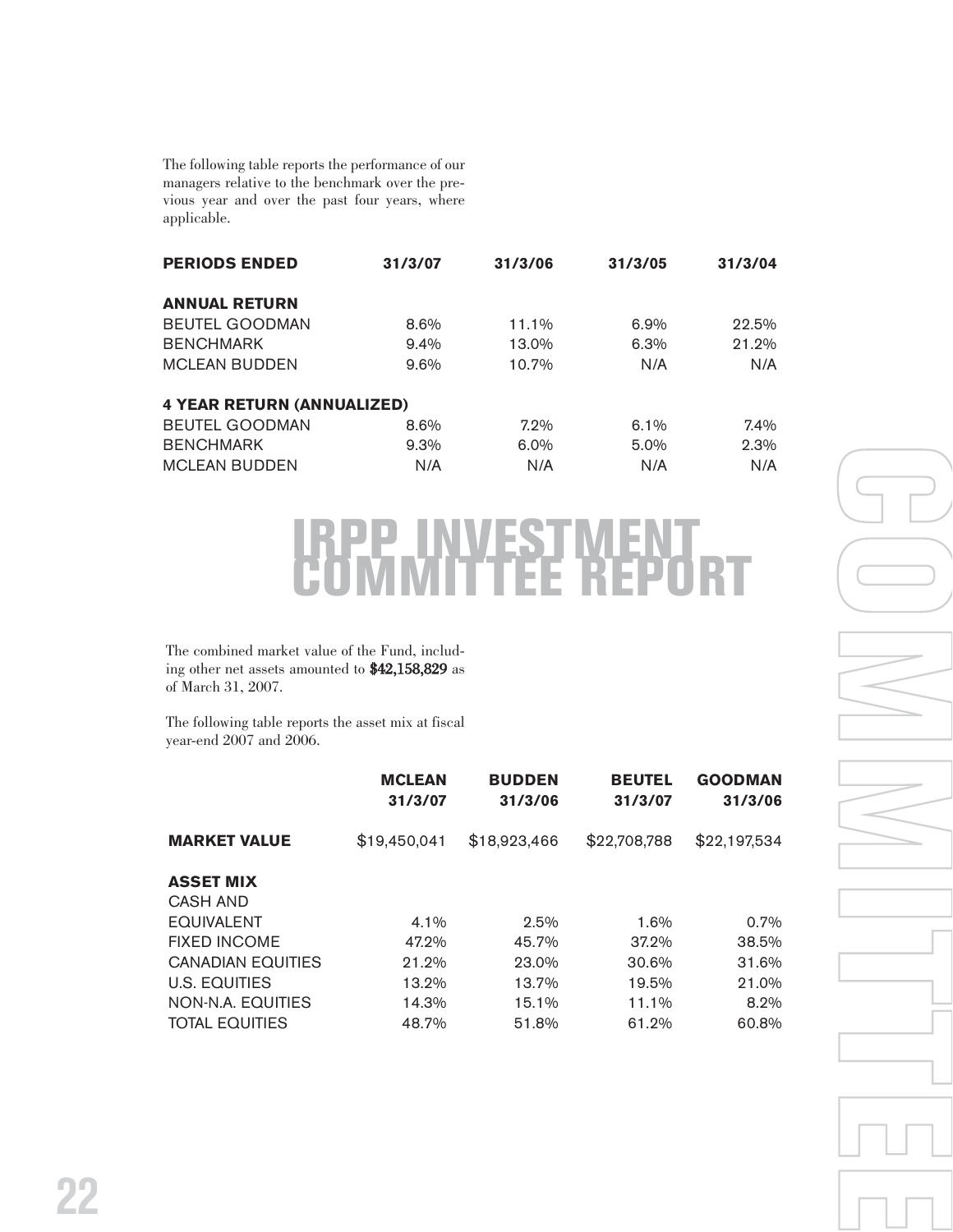The following table reports the performance of our managers relative to the benchmark over the previous year and over the past four years, where applicable.

| <b>PERIODS ENDED</b>              | 31/3/07 | 31/3/06 | 31/3/05 | 31/3/04 |
|-----------------------------------|---------|---------|---------|---------|
| <b>ANNUAL RETURN</b>              |         |         |         |         |
| <b>BEUTEL GOODMAN</b>             | $8.6\%$ | 11.1%   | 6.9%    | 22.5%   |
| <b>BENCHMARK</b>                  | $9.4\%$ | 13.0%   | 6.3%    | 21.2%   |
| <b>MCLEAN BUDDEN</b>              | $9.6\%$ | 10.7%   | N/A     | N/A     |
| <b>4 YEAR RETURN (ANNUALIZED)</b> |         |         |         |         |
| <b>BEUTEL GOODMAN</b>             | $8.6\%$ | $7.2\%$ | $6.1\%$ | $7.4\%$ |
| <b>BENCHMARK</b>                  | $9.3\%$ | $6.0\%$ | $5.0\%$ | 2.3%    |
| <b>MCLEAN BUDDEN</b>              | N/A     | N/A     | N/A     | N/A     |

# **IRPP INVESTMENT COMMITTEE REPORT**

The combined market value of the Fund, including other net assets amounted to \$42,158,829 as of March 31, 2007.

The following table reports the asset mix at fiscal year-end 2007 and 2006.

|                              | <b>MCLEAN</b><br>31/3/07 | <b>BUDDEN</b><br>31/3/06 | <b>BEUTEL</b><br>31/3/07 | <b>GOODMAN</b><br>31/3/06 |
|------------------------------|--------------------------|--------------------------|--------------------------|---------------------------|
| <b>MARKET VALUE</b>          | \$19,450,041             | \$18,923,466             | \$22,708,788             | \$22,197,534              |
| <b>ASSET MIX</b><br>CASH AND |                          |                          |                          |                           |
| <b>EQUIVALENT</b>            | $4.1\%$                  | $2.5\%$                  | 1.6%                     | $0.7\%$                   |
| <b>FIXED INCOME</b>          | 47.2%                    | 45.7%                    | 37.2%                    | 38.5%                     |
| <b>CANADIAN EQUITIES</b>     | 21.2%                    | 23.0%                    | 30.6%                    | 31.6%                     |
| U.S. EQUITIES                | 13.2%                    | 13.7%                    | 19.5%                    | 21.0%                     |
| NON-N.A. EQUITIES            | 14.3%                    | 15.1%                    | 11.1%                    | $8.2\%$                   |
| <b>TOTAL EQUITIES</b>        | 48.7%                    | 51.8%                    | 61.2%                    | 60.8%                     |

**M I T T E E** 

**C**

**O**

**M**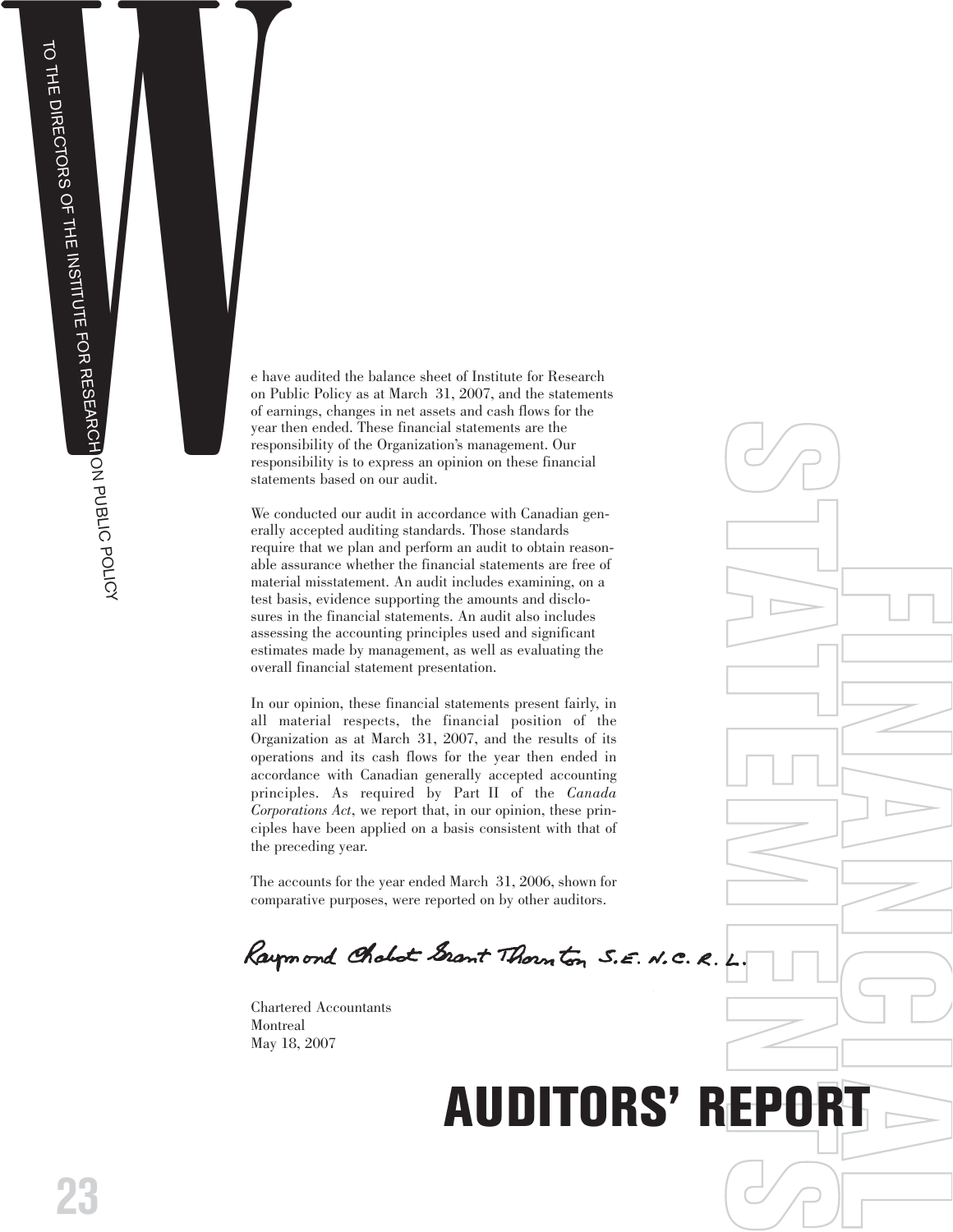ON PUBLIC POLICY



on Public Policy as at March 31, 2007, and the statements of earnings, changes in net assets and cash flows for the year then ended. These financial statements are the responsibility of the Organization's management. Our responsibility is to express an opinion on these financial statements based on our audit.

We conducted our audit in accordance with Canadian generally accepted auditing standards. Those standards require that we plan and perform an audit to obtain reasonable assurance whether the financial statements are free of material misstatement. An audit includes examining, on a test basis, evidence supporting the amounts and disclosures in the financial statements. An audit also includes assessing the accounting principles used and significant estimates made by management, as well as evaluating the overall financial statement presentation.

In our opinion, these financial statements present fairly, in all material respects, the financial position of the Organization as at March 31, 2007, and the results of its operations and its cash flows for the year then ended in accordance with Canadian generally accepted accounting principles. As required by Part II of the *Canada Corporations Act*, we report that, in our opinion, these principles have been applied on a basis consistent with that of the preceding year.

The accounts for the year ended March 31, 2006, shown for comparative purposes, were reported on by other auditors.

**E**

Chartered Accountants Montreal May 18, 2007

# **T AUDITORS' REPORT**

**F**

 $\bigcirc$ 

**TATA** 

**E** 

**M**

**N**

 $\bigcirc$ 

**I**

**N**

**A**

**N**

**C**

**I**

**A**

**L**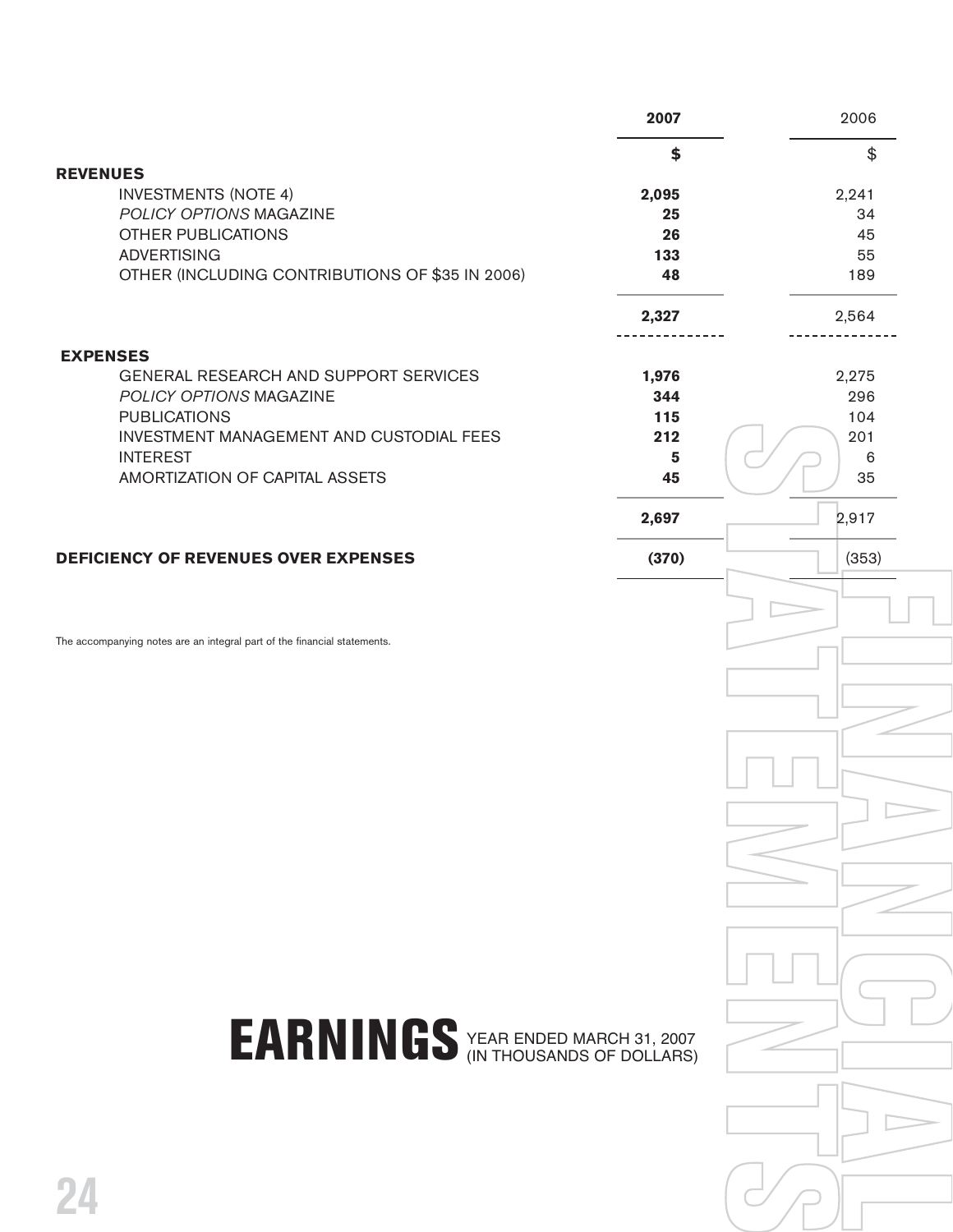|                                                                          | 2007           | 2006  |
|--------------------------------------------------------------------------|----------------|-------|
|                                                                          | \$             | \$    |
| <b>REVENUES</b>                                                          |                |       |
| <b>INVESTMENTS (NOTE 4)</b>                                              | 2,095          | 2,241 |
| POLICY OPTIONS MAGAZINE                                                  | 25             | 34    |
| <b>OTHER PUBLICATIONS</b>                                                | 26             | 45    |
| <b>ADVERTISING</b>                                                       | 133            | 55    |
| OTHER (INCLUDING CONTRIBUTIONS OF \$35 IN 2006)                          | 48             | 189   |
|                                                                          | 2,327          | 2,564 |
| <b>EXPENSES</b>                                                          |                |       |
| GENERAL RESEARCH AND SUPPORT SERVICES                                    | 1,976          | 2,275 |
| POLICY OPTIONS MAGAZINE                                                  | 344            | 296   |
| <b>PUBLICATIONS</b>                                                      | 115            | 104   |
| INVESTMENT MANAGEMENT AND CUSTODIAL FEES                                 | 212            | 201   |
| <b>INTEREST</b>                                                          | $5\phantom{1}$ | 6     |
| AMORTIZATION OF CAPITAL ASSETS                                           | 45             | 35    |
|                                                                          | 2,697          | 2,917 |
| <b>DEFICIENCY OF REVENUES OVER EXPENSES</b>                              | (370)          | (353) |
| The accompanying notes are an integral part of the financial statements. |                |       |
| EARNINGS YEAR ENDED MARCH 31, 2007<br>24                                 |                |       |
|                                                                          |                |       |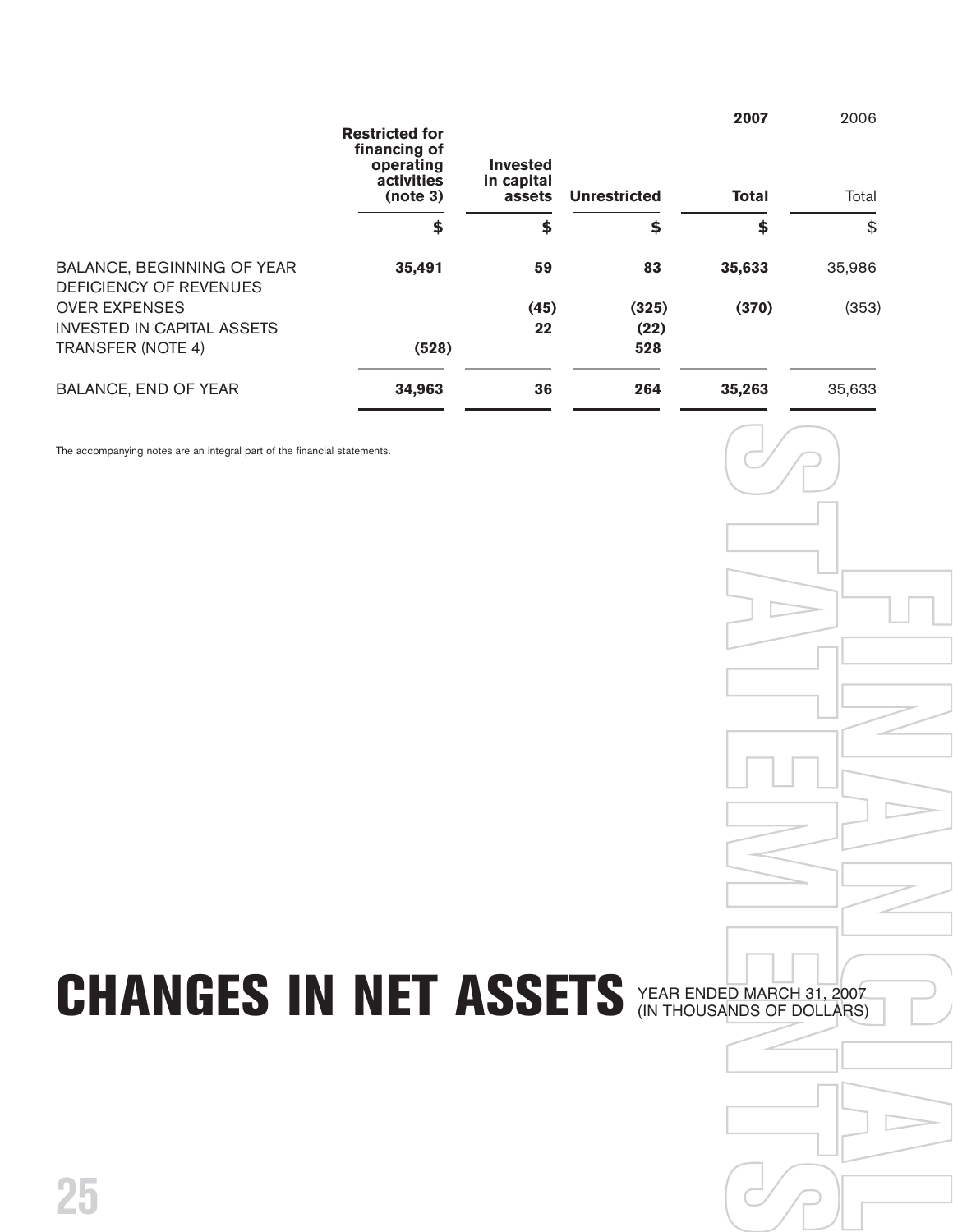|                                                             | <b>Restricted for</b><br>financing of<br>operating<br>activities<br>(note 3) | <b>Invested</b><br>in capital<br>assets | <b>Unrestricted</b> | 2007<br><b>Total</b> | 2006<br>Total |
|-------------------------------------------------------------|------------------------------------------------------------------------------|-----------------------------------------|---------------------|----------------------|---------------|
|                                                             | \$                                                                           | \$                                      | \$                  | \$                   | \$            |
| BALANCE, BEGINNING OF YEAR<br><b>DEFICIENCY OF REVENUES</b> | 35,491                                                                       | 59                                      | 83                  | 35,633               | 35,986        |
| <b>OVER EXPENSES</b>                                        |                                                                              | (45)                                    | (325)               | (370)                | (353)         |
| <b>INVESTED IN CAPITAL ASSETS</b>                           |                                                                              | 22                                      | (22)                |                      |               |
| <b>TRANSFER (NOTE 4)</b>                                    | (528)                                                                        |                                         | 528                 |                      |               |
| <b>BALANCE, END OF YEAR</b>                                 | 34,963                                                                       | 36                                      | 264                 | 35,263               | 35,633        |

The accompanying notes are an integral part of the financial statements.

# **CHANGES IN NET ASSETS**

 $\begin{array}{c}\n\overline{007} \\
\overline{RS} \\
\end{array}$ **FE** D MARCH 31, 2<br>NDS OF DOLLA<br> **NOS OF DOLLA** YEAR ENDED MARCH 31, 2007 (IN THOUSANDS OF DOLLARS)

 $\bigcirc$ 

**TATA** 

**FE** 

**M**

**T** 

 $\bigcirc$ 

**F**

**I**

**N**

**A**

**N**

**I**

**A**

**L**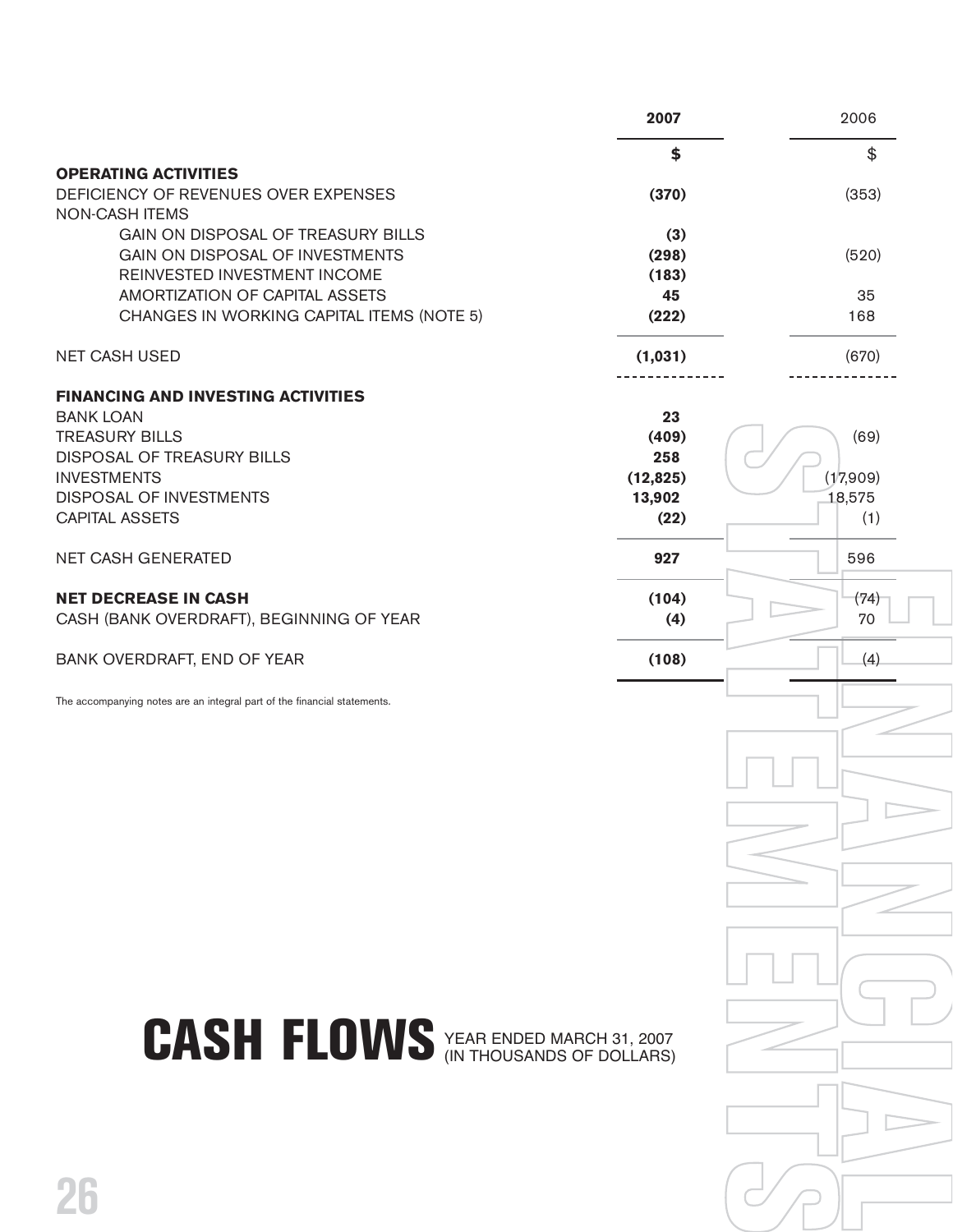|                                                                                                                                                                                                       | 2007                                              | 2006                              |
|-------------------------------------------------------------------------------------------------------------------------------------------------------------------------------------------------------|---------------------------------------------------|-----------------------------------|
|                                                                                                                                                                                                       | \$                                                | \$                                |
| <b>OPERATING ACTIVITIES</b><br>DEFICIENCY OF REVENUES OVER EXPENSES<br><b>NON-CASH ITEMS</b>                                                                                                          | (370)                                             | (353)                             |
| GAIN ON DISPOSAL OF TREASURY BILLS<br>GAIN ON DISPOSAL OF INVESTMENTS                                                                                                                                 | (3)<br>(298)                                      | (520)                             |
| REINVESTED INVESTMENT INCOME<br>AMORTIZATION OF CAPITAL ASSETS<br>CHANGES IN WORKING CAPITAL ITEMS (NOTE 5)                                                                                           | (183)<br>45<br>(222)                              | 35<br>168                         |
| <b>NET CASH USED</b>                                                                                                                                                                                  | (1,031)                                           | (670)                             |
| <b>FINANCING AND INVESTING ACTIVITIES</b><br><b>BANK LOAN</b><br><b>TREASURY BILLS</b><br>DISPOSAL OF TREASURY BILLS<br><b>INVESTMENTS</b><br><b>DISPOSAL OF INVESTMENTS</b><br><b>CAPITAL ASSETS</b> | 23<br>(409)<br>258<br>(12, 825)<br>13,902<br>(22) | (69)<br>(17,909)<br>18,575<br>(1) |
| <b>NET CASH GENERATED</b>                                                                                                                                                                             | 927                                               | 596                               |
| <b>NET DECREASE IN CASH</b><br>CASH (BANK OVERDRAFT), BEGINNING OF YEAR                                                                                                                               | (104)<br>(4)                                      | (74)<br>70                        |
| BANK OVERDRAFT, END OF YEAR                                                                                                                                                                           | (108)                                             | (4)                               |
| The accompanying notes are an integral part of the financial statements.<br><b>CASH FLOWS</b> YEAR ENDED MARCH 31, 2007                                                                               |                                                   |                                   |
| 26                                                                                                                                                                                                    |                                                   |                                   |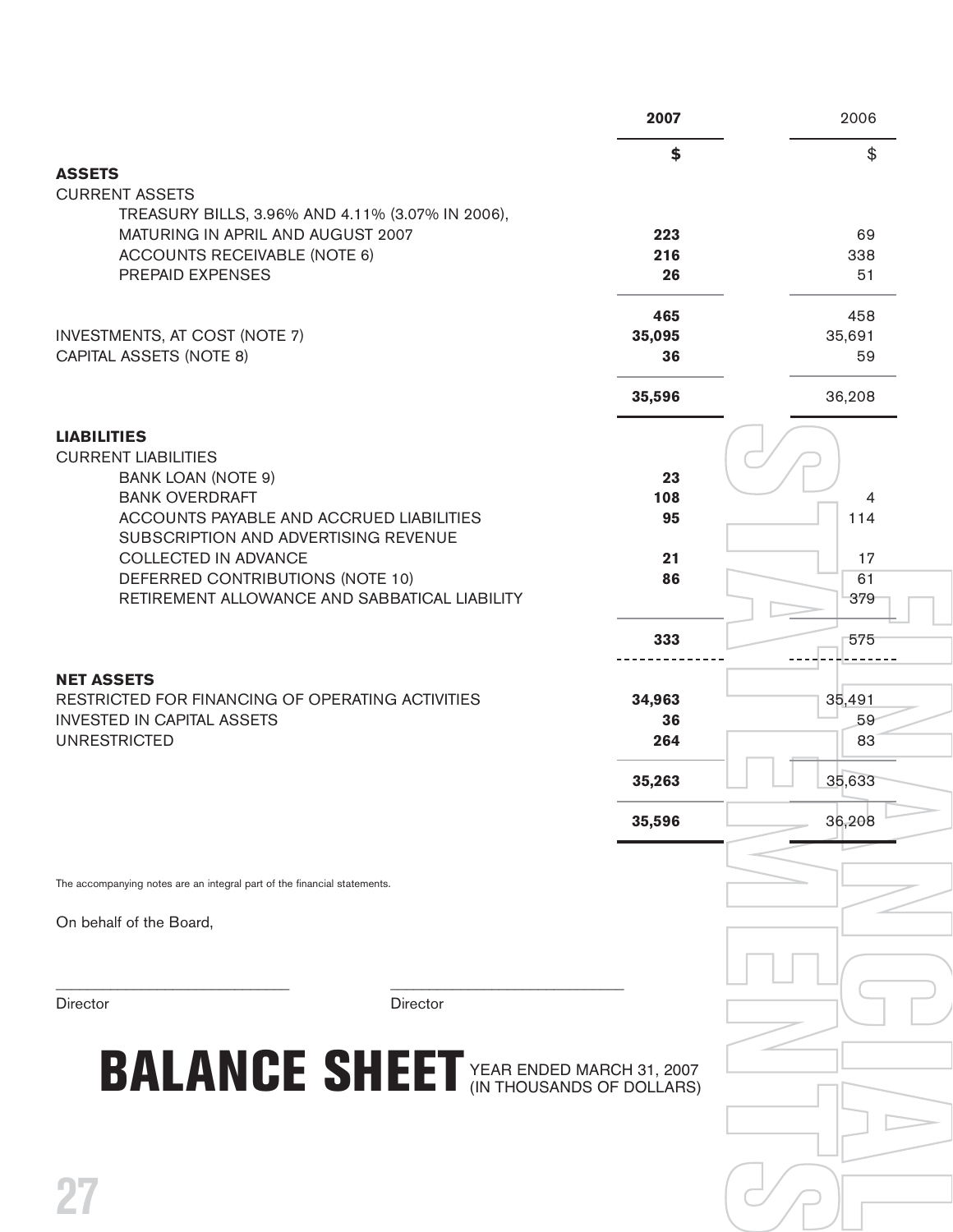|                                                                                       | 2007         | 2006         |
|---------------------------------------------------------------------------------------|--------------|--------------|
|                                                                                       | \$           | \$           |
| <b>ASSETS</b><br><b>CURRENT ASSETS</b>                                                |              |              |
| TREASURY BILLS, 3.96% AND 4.11% (3.07% IN 2006),                                      |              |              |
| MATURING IN APRIL AND AUGUST 2007<br><b>ACCOUNTS RECEIVABLE (NOTE 6)</b>              | 223<br>216   | 69<br>338    |
| PREPAID EXPENSES                                                                      | 26           | 51           |
|                                                                                       | 465          | 458          |
| <b>INVESTMENTS, AT COST (NOTE 7)</b>                                                  | 35,095       | 35,691       |
| <b>CAPITAL ASSETS (NOTE 8)</b>                                                        | 36           | 59           |
|                                                                                       | 35,596       | 36,208       |
| <b>LIABILITIES</b><br><b>CURRENT LIABILITIES</b><br><b>BANK LOAN (NOTE 9)</b>         | 23           |              |
| <b>BANK OVERDRAFT</b>                                                                 | 108          | 4            |
| ACCOUNTS PAYABLE AND ACCRUED LIABILITIES<br>SUBSCRIPTION AND ADVERTISING REVENUE      | 95           | 114          |
| <b>COLLECTED IN ADVANCE</b>                                                           | 21           | 17           |
| DEFERRED CONTRIBUTIONS (NOTE 10)                                                      | 86           | 61           |
| RETIREMENT ALLOWANCE AND SABBATICAL LIABILITY                                         |              | 379          |
|                                                                                       | 333          | 575          |
| <b>NET ASSETS</b>                                                                     |              |              |
| RESTRICTED FOR FINANCING OF OPERATING ACTIVITIES<br><b>INVESTED IN CAPITAL ASSETS</b> | 34,963<br>36 | 35,491<br>59 |
| <b>UNRESTRICTED</b>                                                                   | 264          | 83           |
|                                                                                       | 35,263       | 35,633       |
|                                                                                       | 35,596       | 36,208       |
|                                                                                       |              |              |
| The accompanying notes are an integral part of the financial statements.              |              |              |
| On behalf of the Board,                                                               |              |              |
|                                                                                       |              |              |
| Director<br><b>Director</b>                                                           |              |              |
|                                                                                       |              |              |
| <b>BALANCE SHEET</b> YEAR ENDED MARCH 31, 2007                                        |              |              |
|                                                                                       |              |              |
|                                                                                       |              |              |
|                                                                                       |              |              |
| 27                                                                                    |              |              |
|                                                                                       |              |              |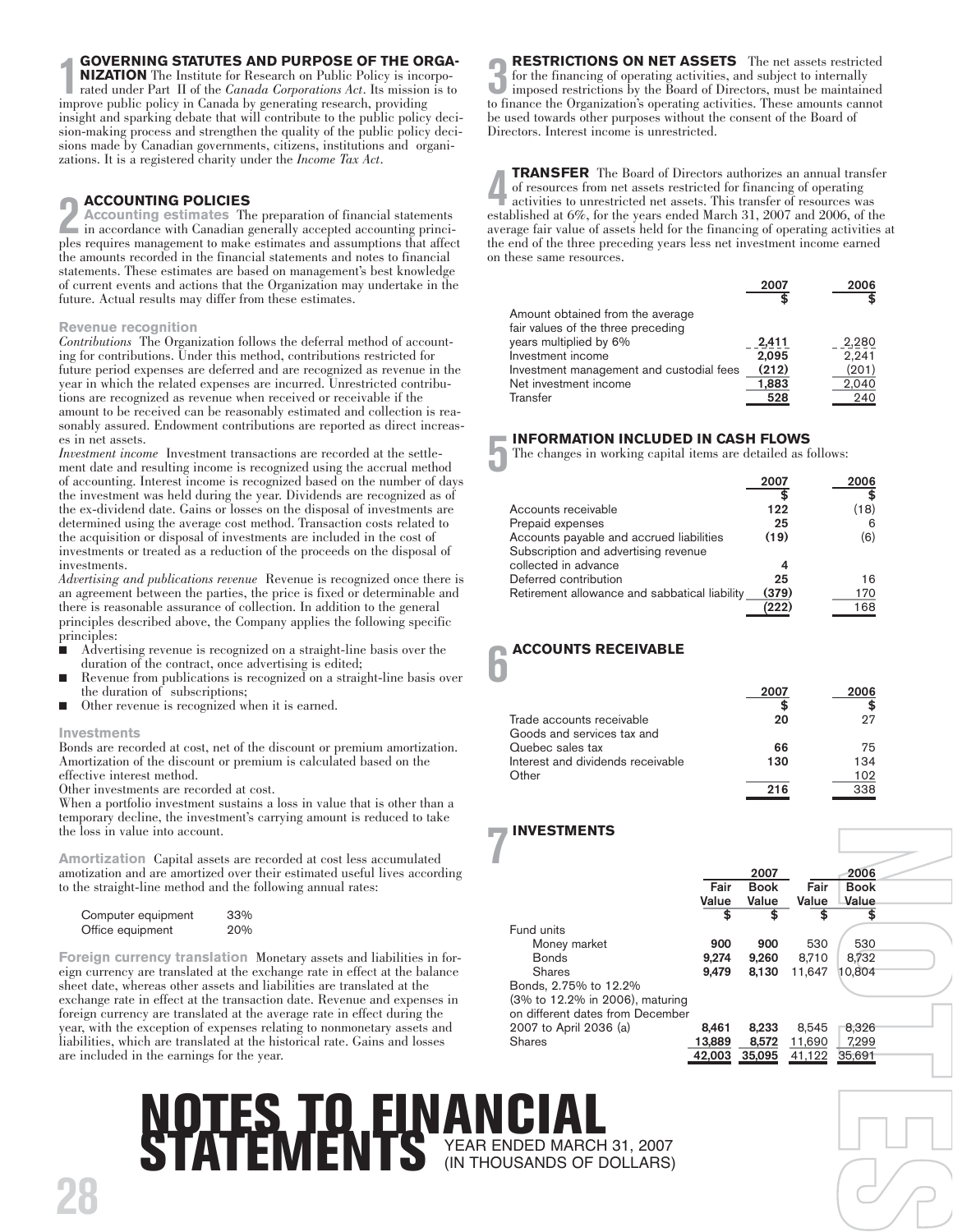### **GOVERNING STATUTES AND PURPOSE OF THE ORGA-**

**10 GOVERNING STATUTES AND PURPOSE OF THE OI**<br> **NIZATION** The Institute for Research on Public Policy is ince<br>
rated under Part II of the *Canada Corporations Act*. Its mission<br>
improve public policy in Canada by generatin **NIZATION** The Institute for Research on Public Policy is incorporated under Part II of the *Canada Corporations Act*. Its mission is to insight and sparking debate that will contribute to the public policy decision-making process and strengthen the quality of the public policy decisions made by Canadian governments, citizens, institutions and organizations. It is a registered charity under the *Income Tax Act*.

### **ACCOUNTING POLICIES**

**2 ACCOUNTING POLICIES**<br>in accordance with Canadian generally accepted accounting princi-<br>ples requires management to make estimates and assumptions that affect **Accounting estimates** The preparation of financial statements in accordance with Canadian generally accepted accounting princithe amounts recorded in the financial statements and notes to financial statements. These estimates are based on management's best knowledge of current events and actions that the Organization may undertake in the future. Actual results may differ from these estimates.

### **Revenue recognition**

*Contributions* The Organization follows the deferral method of accounting for contributions. Under this method, contributions restricted for future period expenses are deferred and are recognized as revenue in the year in which the related expenses are incurred. Unrestricted contributions are recognized as revenue when received or receivable if the amount to be received can be reasonably estimated and collection is reasonably assured. Endowment contributions are reported as direct increases in net assets.

*Investment income* Investment transactions are recorded at the settlement date and resulting income is recognized using the accrual method of accounting. Interest income is recognized based on the number of days the investment was held during the year. Dividends are recognized as of the ex-dividend date. Gains or losses on the disposal of investments are determined using the average cost method. Transaction costs related to the acquisition or disposal of investments are included in the cost of investments or treated as a reduction of the proceeds on the disposal of investments.

*Advertising and publications revenue* Revenue is recognized once there is an agreement between the parties, the price is fixed or determinable and there is reasonable assurance of collection. In addition to the general principles described above, the Company applies the following specific principles:

- Advertising revenue is recognized on a straight-line basis over the duration of the contract, once advertising is edited;
- Revenue from publications is recognized on a straight-line basis over the duration of subscriptions;
- Other revenue is recognized when it is earned.

### **Investments**

**28**

Bonds are recorded at cost, net of the discount or premium amortization. Amortization of the discount or premium is calculated based on the effective interest method.

Other investments are recorded at cost.

When a portfolio investment sustains a loss in value that is other than a temporary decline, the investment's carrying amount is reduced to take the loss in value into account.

**Amortization** Capital assets are recorded at cost less accumulated amotization and are amortized over their estimated useful lives according to the straight-line method and the following annual rates:

| Computer equipment | 33% |
|--------------------|-----|
| Office equipment   | 20% |

**Foreign currency translation** Monetary assets and liabilities in foreign currency are translated at the exchange rate in effect at the balance sheet date, whereas other assets and liabilities are translated at the exchange rate in effect at the transaction date. Revenue and expenses in foreign currency are translated at the average rate in effect during the year, with the exception of expenses relating to nonmonetary assets and liabilities, which are translated at the historical rate. Gains and losses are included in the earnings for the year.

**3** to finance the Organization's operating activities. These amounts cannot **RESTRICTIONS ON NET ASSETS** The net assets restricted for the financing of operating activities, and subject to internally imposed restrictions by the Board of Directors, must be maintained be used towards other purposes without the consent of the Board of Directors. Interest income is unrestricted.

**4 1 FRANSFER** The Board of Directors authorizes an annual transfer of resources from net assets restricted for financing of operating activities to unrestricted net assets. This transfer of resources was established at **TRANSFER** The Board of Directors authorizes an annual transfer of resources from net assets restricted for financing of operating activities to unrestricted net assets. This transfer of resources was average fair value of assets held for the financing of operating activities at the end of the three preceding years less net investment income earned on these same resources.

|                                          | 2007  | 2006  |
|------------------------------------------|-------|-------|
| Amount obtained from the average         |       |       |
| fair values of the three preceding       |       |       |
| years multiplied by 6%                   | 2,411 | 2.280 |
| Investment income                        | 2,095 | 2.241 |
| Investment management and custodial fees | (212) | (201) |
| Net investment income                    | 1,883 | 2.040 |
| Transfer                                 | 528   | 240   |

### **5 INFORMATION INCLUDED IN CASH FLOWS**

The changes in working capital items are detailed as follows:

|                                               | 2007  | 2006 |
|-----------------------------------------------|-------|------|
|                                               |       |      |
| Accounts receivable                           | 122   | (18) |
| Prepaid expenses                              | 25    | ൳    |
| Accounts payable and accrued liabilities      | (19)  | (6)  |
| Subscription and advertising revenue          |       |      |
| collected in advance                          |       |      |
| Deferred contribution                         | 25    | 16   |
| Retirement allowance and sabbatical liability | (379) | 170  |
|                                               | חהח   | 168  |

### **6 ACCOUNTS RECEIVABLE**

|                                   | 2007       | 2006 |
|-----------------------------------|------------|------|
|                                   |            |      |
| Trade accounts receivable         | 20         | 97   |
| Goods and services tax and        |            |      |
| Quebec sales tax                  | 66         | 75   |
| Interest and dividends receivable | 130        | 134  |
| Other                             |            | 102  |
|                                   | <b>216</b> | 338  |

### **INVESTMENTS**

| <b>INVESTMENTS</b>               |        |                     |        |              |  |
|----------------------------------|--------|---------------------|--------|--------------|--|
|                                  | Fair   | 2007<br><b>Book</b> | Fair   | 2006<br>Book |  |
|                                  | Value  | Value               | Value  | Value        |  |
|                                  | \$     | \$                  | \$     | \$           |  |
| Fund units                       |        |                     |        |              |  |
| Money market                     | 900    | 900                 | 530    | 530          |  |
| <b>Bonds</b>                     | 9,274  | 9,260               | 8,710  | 8.732        |  |
| Shares                           | 9,479  | 8,130               | 11.647 | 10,804       |  |
| Bonds, 2.75% to 12.2%            |        |                     |        |              |  |
| (3% to 12.2% in 2006), maturing  |        |                     |        |              |  |
| on different dates from December |        |                     |        |              |  |
| 2007 to April 2036 (a)           | 8,461  | 8,233               | 8,545  | 8,326        |  |
| <b>Shares</b>                    | 13,889 | 8,572               | 11,690 | 7,299        |  |
|                                  | 42,003 | 35,095              | 41,122 | 35,691       |  |
|                                  |        |                     |        |              |  |

**FE** 

 $\mathcal{C}$ 

### **NOTES TO FINANCIAL STATEMENTS** YEAR ENDED MARCH 31, 2007 (IN THOUSANDS OF DOLLARS)